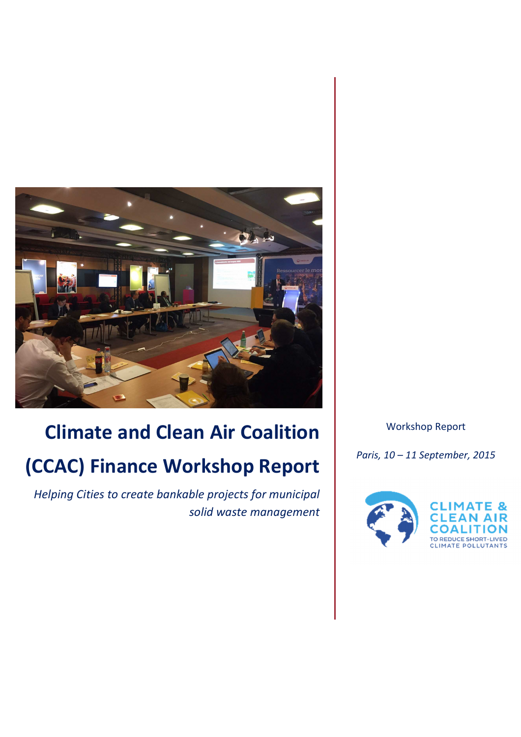

# **Climate and Clean Air Coalition (CCAC) Finance Workshop Report**

*Helping Cities to create bankable projects for municipal solid waste management* Workshop Report

*Paris, 10 – 11 September, 2015* 

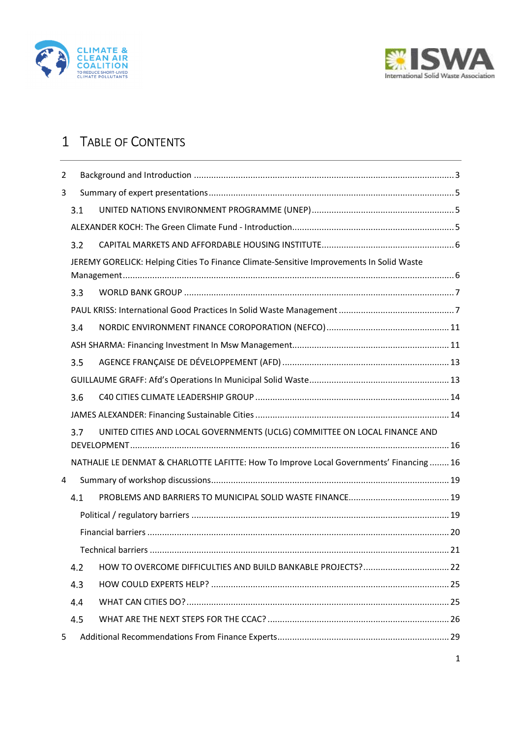



## 1 TABLE OF CONTENTS

| $\overline{2}$ |     |                                                                                          |  |
|----------------|-----|------------------------------------------------------------------------------------------|--|
| 3              |     |                                                                                          |  |
|                | 3.1 |                                                                                          |  |
|                |     |                                                                                          |  |
|                | 3.2 |                                                                                          |  |
|                |     | JEREMY GORELICK: Helping Cities To Finance Climate-Sensitive Improvements In Solid Waste |  |
|                | 3.3 |                                                                                          |  |
|                |     |                                                                                          |  |
|                | 3.4 |                                                                                          |  |
|                |     |                                                                                          |  |
|                | 3.5 |                                                                                          |  |
|                |     |                                                                                          |  |
|                | 3.6 |                                                                                          |  |
|                |     |                                                                                          |  |
|                | 3.7 | UNITED CITIES AND LOCAL GOVERNMENTS (UCLG) COMMITTEE ON LOCAL FINANCE AND                |  |
|                |     | NATHALIE LE DENMAT & CHARLOTTE LAFITTE: How To Improve Local Governments' Financing  16  |  |
| 4              |     |                                                                                          |  |
|                | 4.1 |                                                                                          |  |
|                |     |                                                                                          |  |
|                |     |                                                                                          |  |
|                |     |                                                                                          |  |
|                | 4.2 | HOW TO OVERCOME DIFFICULTIES AND BUILD BANKABLE PROJECTS? 22                             |  |
|                | 4.3 |                                                                                          |  |
|                | 4.4 |                                                                                          |  |
|                | 4.5 |                                                                                          |  |
| 5              |     |                                                                                          |  |
|                |     |                                                                                          |  |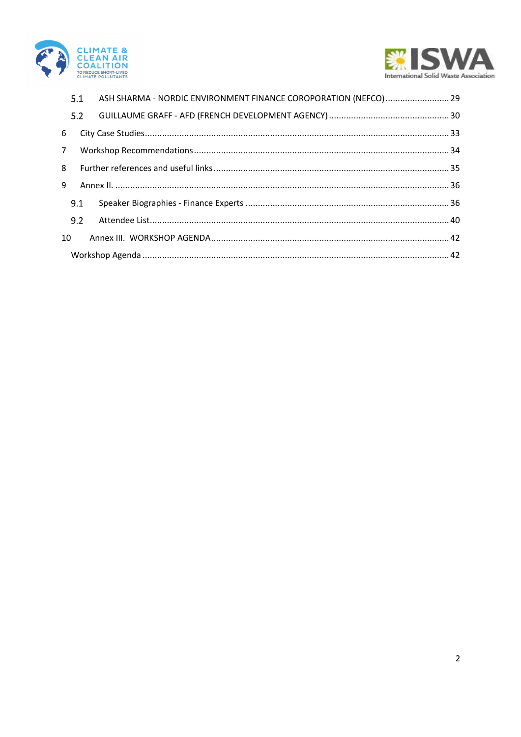



|             | 5.1 | ASH SHARMA - NORDIC ENVIRONMENT FINANCE COROPORATION (NEFCO) 29 |  |
|-------------|-----|-----------------------------------------------------------------|--|
|             | 5.2 |                                                                 |  |
| 6           |     |                                                                 |  |
| $7^{\circ}$ |     |                                                                 |  |
| 8           |     |                                                                 |  |
| 9           |     |                                                                 |  |
|             | 9.1 |                                                                 |  |
|             | 9.2 |                                                                 |  |
| 10          |     |                                                                 |  |
|             |     |                                                                 |  |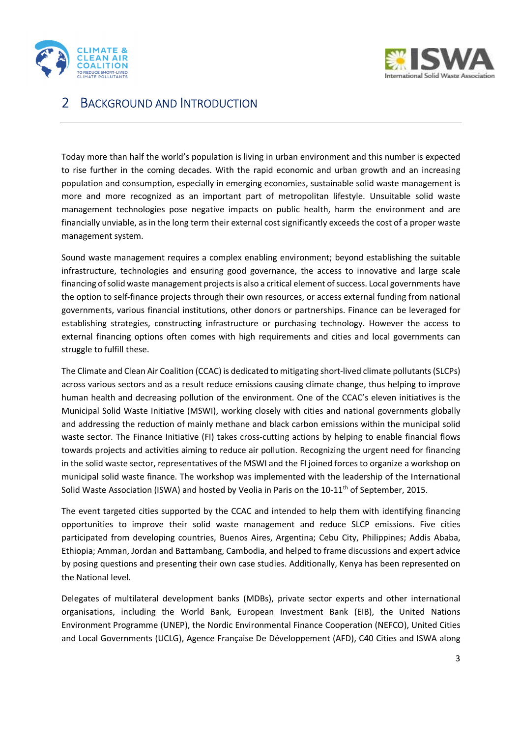



## 2 BACKGROUND AND INTRODUCTION

Today more than half the world's population is living in urban environment and this number is expected to rise further in the coming decades. With the rapid economic and urban growth and an increasing population and consumption, especially in emerging economies, sustainable solid waste management is more and more recognized as an important part of metropolitan lifestyle. Unsuitable solid waste management technologies pose negative impacts on public health, harm the environment and are financially unviable, as in the long term their external cost significantly exceeds the cost of a proper waste management system.

Sound waste management requires a complex enabling environment; beyond establishing the suitable infrastructure, technologies and ensuring good governance, the access to innovative and large scale financing of solid waste management projects is also a critical element of success. Local governments have the option to self-finance projects through their own resources, or access external funding from national governments, various financial institutions, other donors or partnerships. Finance can be leveraged for establishing strategies, constructing infrastructure or purchasing technology. However the access to external financing options often comes with high requirements and cities and local governments can struggle to fulfill these.

The Climate and Clean Air Coalition (CCAC) is dedicated to mitigating short-lived climate pollutants (SLCPs) across various sectors and as a result reduce emissions causing climate change, thus helping to improve human health and decreasing pollution of the environment. One of the CCAC's eleven initiatives is the Municipal Solid Waste Initiative (MSWI), working closely with cities and national governments globally and addressing the reduction of mainly methane and black carbon emissions within the municipal solid waste sector. The Finance Initiative (FI) takes cross-cutting actions by helping to enable financial flows towards projects and activities aiming to reduce air pollution. Recognizing the urgent need for financing in the solid waste sector, representatives of the MSWI and the FI joined forces to organize a workshop on municipal solid waste finance. The workshop was implemented with the leadership of the International Solid Waste Association (ISWA) and hosted by Veolia in Paris on the 10-11<sup>th</sup> of September, 2015.

The event targeted cities supported by the CCAC and intended to help them with identifying financing opportunities to improve their solid waste management and reduce SLCP emissions. Five cities participated from developing countries, Buenos Aires, Argentina; Cebu City, Philippines; Addis Ababa, Ethiopia; Amman, Jordan and Battambang, Cambodia, and helped to frame discussions and expert advice by posing questions and presenting their own case studies. Additionally, Kenya has been represented on the National level.

Delegates of multilateral development banks (MDBs), private sector experts and other international organisations, including the World Bank, European Investment Bank (EIB), the United Nations Environment Programme (UNEP), the Nordic Environmental Finance Cooperation (NEFCO), United Cities and Local Governments (UCLG), Agence Française De Développement (AFD), C40 Cities and ISWA along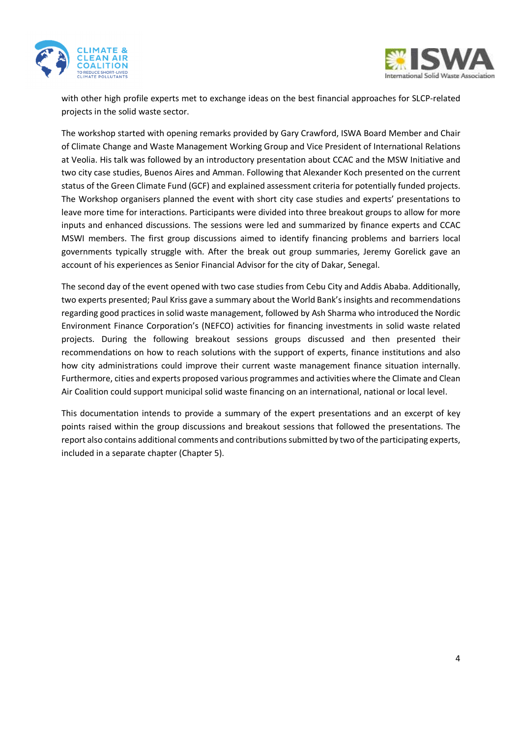



with other high profile experts met to exchange ideas on the best financial approaches for SLCP-related projects in the solid waste sector.

The workshop started with opening remarks provided by Gary Crawford, ISWA Board Member and Chair of Climate Change and Waste Management Working Group and Vice President of International Relations at Veolia. His talk was followed by an introductory presentation about CCAC and the MSW Initiative and two city case studies, Buenos Aires and Amman. Following that Alexander Koch presented on the current status of the Green Climate Fund (GCF) and explained assessment criteria for potentially funded projects. The Workshop organisers planned the event with short city case studies and experts' presentations to leave more time for interactions. Participants were divided into three breakout groups to allow for more inputs and enhanced discussions. The sessions were led and summarized by finance experts and CCAC MSWI members. The first group discussions aimed to identify financing problems and barriers local governments typically struggle with. After the break out group summaries, Jeremy Gorelick gave an account of his experiences as Senior Financial Advisor for the city of Dakar, Senegal.

The second day of the event opened with two case studies from Cebu City and Addis Ababa. Additionally, two experts presented; Paul Kriss gave a summary about the World Bank's insights and recommendations regarding good practices in solid waste management, followed by Ash Sharma who introduced the Nordic Environment Finance Corporation's (NEFCO) activities for financing investments in solid waste related projects. During the following breakout sessions groups discussed and then presented their recommendations on how to reach solutions with the support of experts, finance institutions and also how city administrations could improve their current waste management finance situation internally. Furthermore, cities and experts proposed various programmes and activities where the Climate and Clean Air Coalition could support municipal solid waste financing on an international, national or local level.

This documentation intends to provide a summary of the expert presentations and an excerpt of key points raised within the group discussions and breakout sessions that followed the presentations. The report also contains additional comments and contributions submitted by two of the participating experts, included in a separate chapter (Chapter 5).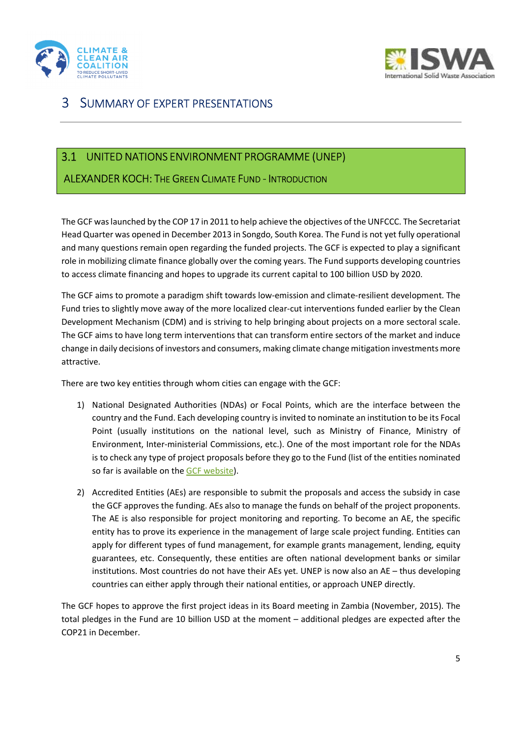



## 3 SUMMARY OF EXPERT PRESENTATIONS

## UNITED NATIONS ENVIRONMENT PROGRAMME (UNEP)

### ALEXANDER KOCH: THE GREEN CLIMATE FUND - INTRODUCTION

The GCF was launched by the COP 17 in 2011 to help achieve the objectives of the UNFCCC. The Secretariat Head Quarter was opened in December 2013 in Songdo, South Korea. The Fund is not yet fully operational and many questions remain open regarding the funded projects. The GCF is expected to play a significant role in mobilizing climate finance globally over the coming years. The Fund supports developing countries to access climate financing and hopes to upgrade its current capital to 100 billion USD by 2020.

The GCF aims to promote a paradigm shift towards low-emission and climate-resilient development. The Fund tries to slightly move away of the more localized clear-cut interventions funded earlier by the Clean Development Mechanism (CDM) and is striving to help bringing about projects on a more sectoral scale. The GCF aims to have long term interventions that can transform entire sectors of the market and induce change in daily decisions of investors and consumers, making climate change mitigation investments more attractive.

There are two key entities through whom cities can engage with the GCF:

- 1) National Designated Authorities (NDAs) or Focal Points, which are the interface between the country and the Fund. Each developing country is invited to nominate an institution to be its Focal Point (usually institutions on the national level, such as Ministry of Finance, Ministry of Environment, Inter-ministerial Commissions, etc.). One of the most important role for the NDAs is to check any type of project proposals before they go to the Fund (list of the entities nominated so far is available on the GCF website).
- 2) Accredited Entities (AEs) are responsible to submit the proposals and access the subsidy in case the GCF approves the funding. AEs also to manage the funds on behalf of the project proponents. The AE is also responsible for project monitoring and reporting. To become an AE, the specific entity has to prove its experience in the management of large scale project funding. Entities can apply for different types of fund management, for example grants management, lending, equity guarantees, etc. Consequently, these entities are often national development banks or similar institutions. Most countries do not have their AEs yet. UNEP is now also an AE – thus developing countries can either apply through their national entities, or approach UNEP directly.

The GCF hopes to approve the first project ideas in its Board meeting in Zambia (November, 2015). The total pledges in the Fund are 10 billion USD at the moment – additional pledges are expected after the COP21 in December.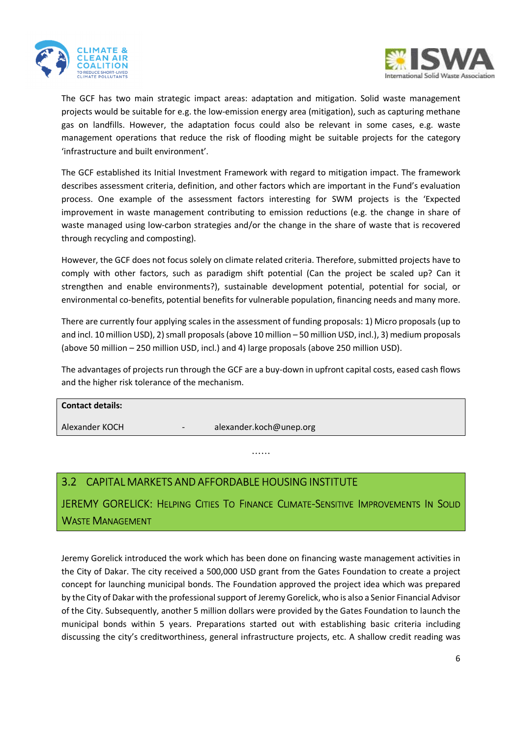



The GCF has two main strategic impact areas: adaptation and mitigation. Solid waste management projects would be suitable for e.g. the low-emission energy area (mitigation), such as capturing methane gas on landfills. However, the adaptation focus could also be relevant in some cases, e.g. waste management operations that reduce the risk of flooding might be suitable projects for the category 'infrastructure and built environment'.

The GCF established its Initial Investment Framework with regard to mitigation impact. The framework describes assessment criteria, definition, and other factors which are important in the Fund's evaluation process. One example of the assessment factors interesting for SWM projects is the 'Expected improvement in waste management contributing to emission reductions (e.g. the change in share of waste managed using low-carbon strategies and/or the change in the share of waste that is recovered through recycling and composting).

However, the GCF does not focus solely on climate related criteria. Therefore, submitted projects have to comply with other factors, such as paradigm shift potential (Can the project be scaled up? Can it strengthen and enable environments?), sustainable development potential, potential for social, or environmental co-benefits, potential benefits for vulnerable population, financing needs and many more.

There are currently four applying scales in the assessment of funding proposals: 1) Micro proposals (up to and incl. 10 million USD), 2) small proposals (above 10 million – 50 million USD, incl.), 3) medium proposals (above 50 million – 250 million USD, incl.) and 4) large proposals (above 250 million USD).

The advantages of projects run through the GCF are a buy-down in upfront capital costs, eased cash flows and the higher risk tolerance of the mechanism.

# **Contact details:**  Alexander KOCH - alexander.koch@unep.org

……

## CAPITAL MARKETS AND AFFORDABLE HOUSING INSTITUTE

JEREMY GORELICK: HELPING CITIES TO FINANCE CLIMATE-SENSITIVE IMPROVEMENTS IN SOLID WASTE MANAGEMENT

Jeremy Gorelick introduced the work which has been done on financing waste management activities in the City of Dakar. The city received a 500,000 USD grant from the Gates Foundation to create a project concept for launching municipal bonds. The Foundation approved the project idea which was prepared by the City of Dakar with the professional support of Jeremy Gorelick, who is also a Senior Financial Advisor of the City. Subsequently, another 5 million dollars were provided by the Gates Foundation to launch the municipal bonds within 5 years. Preparations started out with establishing basic criteria including discussing the city's creditworthiness, general infrastructure projects, etc. A shallow credit reading was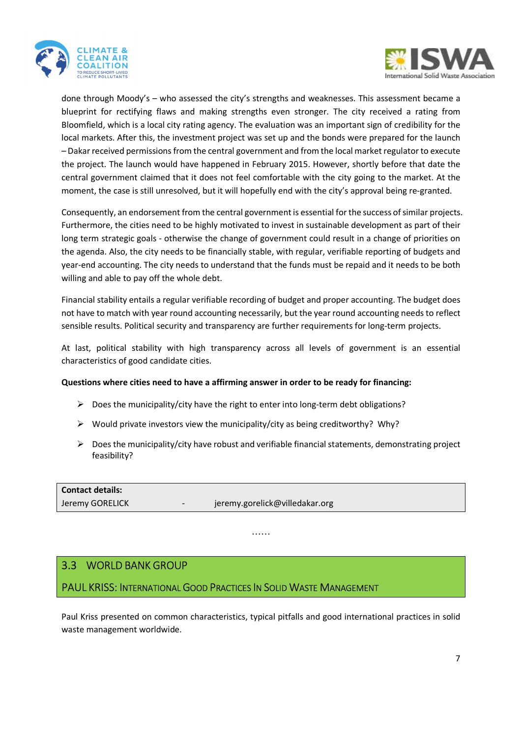



done through Moody's – who assessed the city's strengths and weaknesses. This assessment became a blueprint for rectifying flaws and making strengths even stronger. The city received a rating from Bloomfield, which is a local city rating agency. The evaluation was an important sign of credibility for the local markets. After this, the investment project was set up and the bonds were prepared for the launch – Dakar received permissions from the central government and from the local market regulator to execute the project. The launch would have happened in February 2015. However, shortly before that date the central government claimed that it does not feel comfortable with the city going to the market. At the moment, the case is still unresolved, but it will hopefully end with the city's approval being re-granted.

Consequently, an endorsement from the central government is essential for the success of similar projects. Furthermore, the cities need to be highly motivated to invest in sustainable development as part of their long term strategic goals - otherwise the change of government could result in a change of priorities on the agenda. Also, the city needs to be financially stable, with regular, verifiable reporting of budgets and year-end accounting. The city needs to understand that the funds must be repaid and it needs to be both willing and able to pay off the whole debt.

Financial stability entails a regular verifiable recording of budget and proper accounting. The budget does not have to match with year round accounting necessarily, but the year round accounting needs to reflect sensible results. Political security and transparency are further requirements for long-term projects.

At last, political stability with high transparency across all levels of government is an essential characteristics of good candidate cities.

### **Questions where cities need to have a affirming answer in order to be ready for financing:**

- $\triangleright$  Does the municipality/city have the right to enter into long-term debt obligations?
- $\triangleright$  Would private investors view the municipality/city as being creditworthy? Why?
- $\triangleright$  Does the municipality/city have robust and verifiable financial statements, demonstrating project feasibility?

**Contact details:**  Jeremy GORELICK - jeremy.gorelick@villedakar.org

……

### WORLD BANK GROUP

PAUL KRISS: INTERNATIONAL GOOD PRACTICES IN SOLID WASTE MANAGEMENT

Paul Kriss presented on common characteristics, typical pitfalls and good international practices in solid waste management worldwide.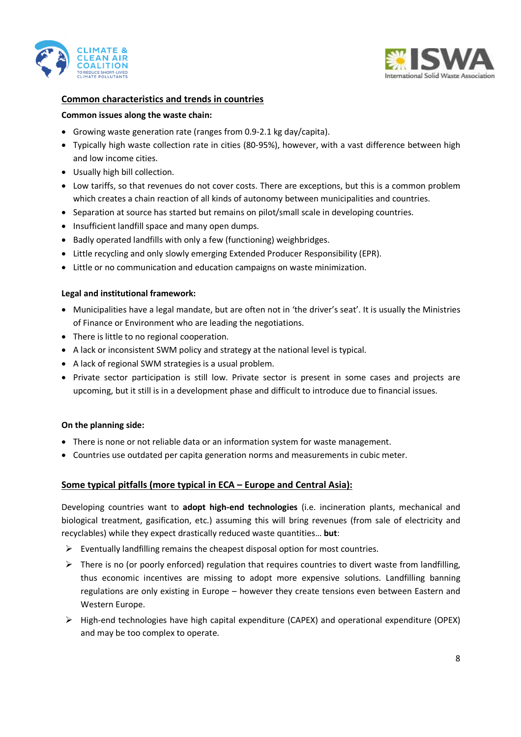



### **Common characteristics and trends in countries**

#### **Common issues along the waste chain:**

- Growing waste generation rate (ranges from 0.9-2.1 kg day/capita).
- Typically high waste collection rate in cities (80-95%), however, with a vast difference between high and low income cities.
- Usually high bill collection.
- Low tariffs, so that revenues do not cover costs. There are exceptions, but this is a common problem which creates a chain reaction of all kinds of autonomy between municipalities and countries.
- Separation at source has started but remains on pilot/small scale in developing countries.
- Insufficient landfill space and many open dumps.
- Badly operated landfills with only a few (functioning) weighbridges.
- Little recycling and only slowly emerging Extended Producer Responsibility (EPR).
- Little or no communication and education campaigns on waste minimization.

#### **Legal and institutional framework:**

- Municipalities have a legal mandate, but are often not in 'the driver's seat'. It is usually the Ministries of Finance or Environment who are leading the negotiations.
- There is little to no regional cooperation.
- A lack or inconsistent SWM policy and strategy at the national level is typical.
- A lack of regional SWM strategies is a usual problem.
- Private sector participation is still low. Private sector is present in some cases and projects are upcoming, but it still is in a development phase and difficult to introduce due to financial issues.

#### **On the planning side:**

- There is none or not reliable data or an information system for waste management.
- Countries use outdated per capita generation norms and measurements in cubic meter.

### **Some typical pitfalls (more typical in ECA – Europe and Central Asia):**

Developing countries want to **adopt high-end technologies** (i.e. incineration plants, mechanical and biological treatment, gasification, etc.) assuming this will bring revenues (from sale of electricity and recyclables) while they expect drastically reduced waste quantities… **but**:

- $\triangleright$  Eventually landfilling remains the cheapest disposal option for most countries.
- $\triangleright$  There is no (or poorly enforced) regulation that requires countries to divert waste from landfilling, thus economic incentives are missing to adopt more expensive solutions. Landfilling banning regulations are only existing in Europe – however they create tensions even between Eastern and Western Europe.
- High-end technologies have high capital expenditure (CAPEX) and operational expenditure (OPEX) and may be too complex to operate.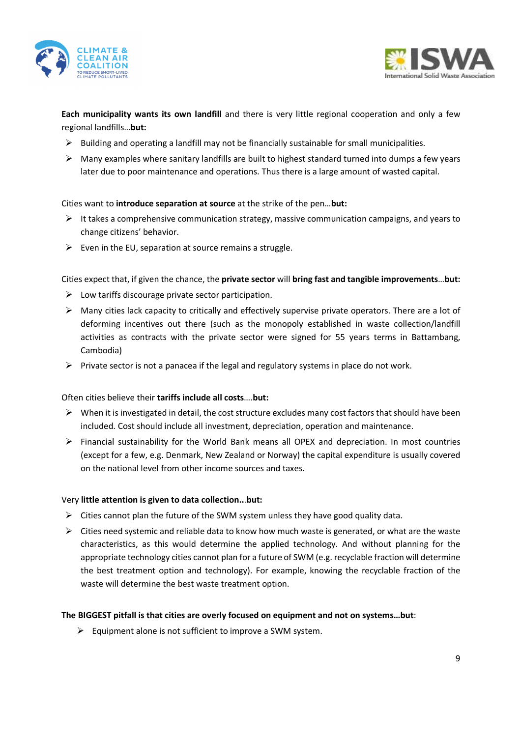



**Each municipality wants its own landfill** and there is very little regional cooperation and only a few regional landfills…**but:** 

- $\triangleright$  Building and operating a landfill may not be financially sustainable for small municipalities.
- $\triangleright$  Many examples where sanitary landfills are built to highest standard turned into dumps a few years later due to poor maintenance and operations. Thus there is a large amount of wasted capital.

### Cities want to **introduce separation at source** at the strike of the pen…**but:**

- $\triangleright$  It takes a comprehensive communication strategy, massive communication campaigns, and years to change citizens' behavior.
- $\triangleright$  Even in the EU, separation at source remains a struggle.

Cities expect that, if given the chance, the **private sector** will **bring fast and tangible improvements**…**but:** 

- $\triangleright$  Low tariffs discourage private sector participation.
- $\triangleright$  Many cities lack capacity to critically and effectively supervise private operators. There are a lot of deforming incentives out there (such as the monopoly established in waste collection/landfill activities as contracts with the private sector were signed for 55 years terms in Battambang, Cambodia)
- $\triangleright$  Private sector is not a panacea if the legal and regulatory systems in place do not work.

### Often cities believe their **tariffs include all costs**….**but:**

- $\triangleright$  When it is investigated in detail, the cost structure excludes many cost factors that should have been included. Cost should include all investment, depreciation, operation and maintenance.
- $\triangleright$  Financial sustainability for the World Bank means all OPEX and depreciation. In most countries (except for a few, e.g. Denmark, New Zealand or Norway) the capital expenditure is usually covered on the national level from other income sources and taxes.

### Very **little attention is given to data collection..**.**but:**

- $\triangleright$  Cities cannot plan the future of the SWM system unless they have good quality data.
- $\triangleright$  Cities need systemic and reliable data to know how much waste is generated, or what are the waste characteristics, as this would determine the applied technology. And without planning for the appropriate technology cities cannot plan for a future of SWM (e.g. recyclable fraction will determine the best treatment option and technology). For example, knowing the recyclable fraction of the waste will determine the best waste treatment option.

### **The BIGGEST pitfall is that cities are overly focused on equipment and not on systems…but**:

 $\triangleright$  Equipment alone is not sufficient to improve a SWM system.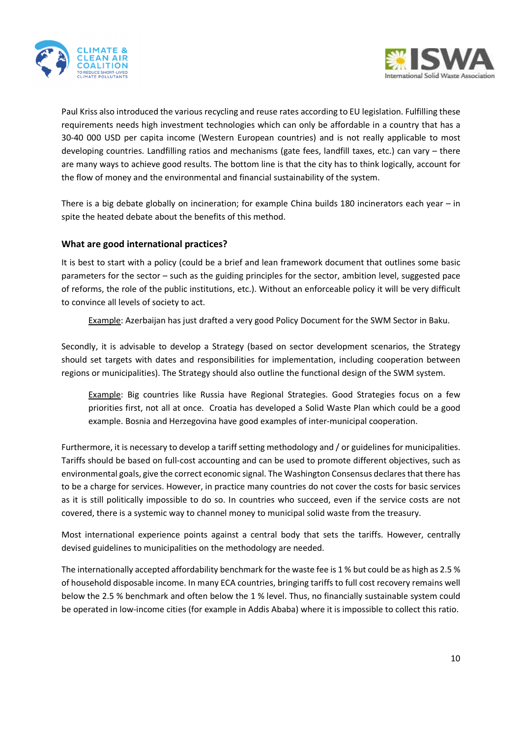



Paul Kriss also introduced the various recycling and reuse rates according to EU legislation. Fulfilling these requirements needs high investment technologies which can only be affordable in a country that has a 30-40 000 USD per capita income (Western European countries) and is not really applicable to most developing countries. Landfilling ratios and mechanisms (gate fees, landfill taxes, etc.) can vary – there are many ways to achieve good results. The bottom line is that the city has to think logically, account for the flow of money and the environmental and financial sustainability of the system.

There is a big debate globally on incineration; for example China builds 180 incinerators each year – in spite the heated debate about the benefits of this method.

### **What are good international practices?**

It is best to start with a policy (could be a brief and lean framework document that outlines some basic parameters for the sector – such as the guiding principles for the sector, ambition level, suggested pace of reforms, the role of the public institutions, etc.). Without an enforceable policy it will be very difficult to convince all levels of society to act.

Example: Azerbaijan has just drafted a very good Policy Document for the SWM Sector in Baku.

Secondly, it is advisable to develop a Strategy (based on sector development scenarios, the Strategy should set targets with dates and responsibilities for implementation, including cooperation between regions or municipalities). The Strategy should also outline the functional design of the SWM system.

Example: Big countries like Russia have Regional Strategies. Good Strategies focus on a few priorities first, not all at once. Croatia has developed a Solid Waste Plan which could be a good example. Bosnia and Herzegovina have good examples of inter-municipal cooperation.

Furthermore, it is necessary to develop a tariff setting methodology and / or guidelines for municipalities. Tariffs should be based on full-cost accounting and can be used to promote different objectives, such as environmental goals, give the correct economic signal. The Washington Consensus declares that there has to be a charge for services. However, in practice many countries do not cover the costs for basic services as it is still politically impossible to do so. In countries who succeed, even if the service costs are not covered, there is a systemic way to channel money to municipal solid waste from the treasury.

Most international experience points against a central body that sets the tariffs. However, centrally devised guidelines to municipalities on the methodology are needed.

The internationally accepted affordability benchmark for the waste fee is 1 % but could be as high as 2.5 % of household disposable income. In many ECA countries, bringing tariffs to full cost recovery remains well below the 2.5 % benchmark and often below the 1 % level. Thus, no financially sustainable system could be operated in low-income cities (for example in Addis Ababa) where it is impossible to collect this ratio.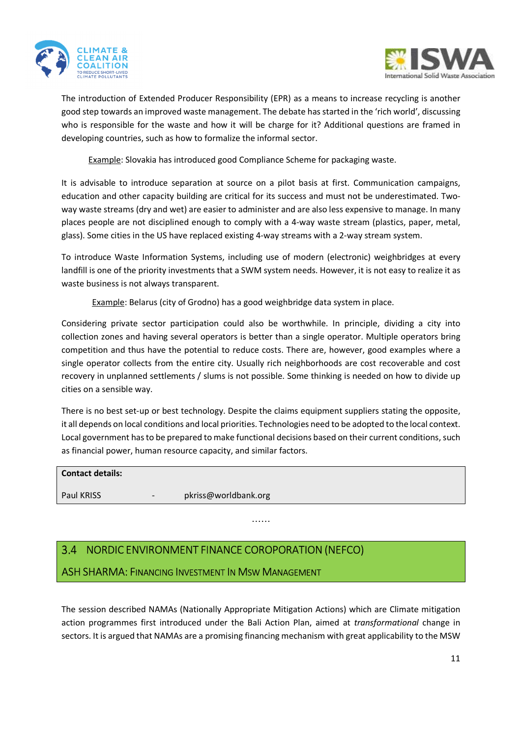



The introduction of Extended Producer Responsibility (EPR) as a means to increase recycling is another good step towards an improved waste management. The debate has started in the 'rich world', discussing who is responsible for the waste and how it will be charge for it? Additional questions are framed in developing countries, such as how to formalize the informal sector.

Example: Slovakia has introduced good Compliance Scheme for packaging waste.

It is advisable to introduce separation at source on a pilot basis at first. Communication campaigns, education and other capacity building are critical for its success and must not be underestimated. Twoway waste streams (dry and wet) are easier to administer and are also less expensive to manage. In many places people are not disciplined enough to comply with a 4-way waste stream (plastics, paper, metal, glass). Some cities in the US have replaced existing 4-way streams with a 2-way stream system.

To introduce Waste Information Systems, including use of modern (electronic) weighbridges at every landfill is one of the priority investments that a SWM system needs. However, it is not easy to realize it as waste business is not always transparent.

Example: Belarus (city of Grodno) has a good weighbridge data system in place.

Considering private sector participation could also be worthwhile. In principle, dividing a city into collection zones and having several operators is better than a single operator. Multiple operators bring competition and thus have the potential to reduce costs. There are, however, good examples where a single operator collects from the entire city. Usually rich neighborhoods are cost recoverable and cost recovery in unplanned settlements / slums is not possible. Some thinking is needed on how to divide up cities on a sensible way.

There is no best set-up or best technology. Despite the claims equipment suppliers stating the opposite, it all depends on local conditions and local priorities. Technologies need to be adopted to the local context. Local government has to be prepared to make functional decisions based on their current conditions, such as financial power, human resource capacity, and similar factors.

| <b>Contact details:</b> |     |                      |
|-------------------------|-----|----------------------|
| <b>Paul KRISS</b>       | $-$ | pkriss@worldbank.org |

……

## 3.4 NORDIC ENVIRONMENT FINANCE COROPORATION (NEFCO)

ASH SHARMA: FINANCING INVESTMENT IN MSW MANAGEMENT

The session described NAMAs (Nationally Appropriate Mitigation Actions) which are Climate mitigation action programmes first introduced under the Bali Action Plan, aimed at *transformational* change in sectors. It is argued that NAMAs are a promising financing mechanism with great applicability to the MSW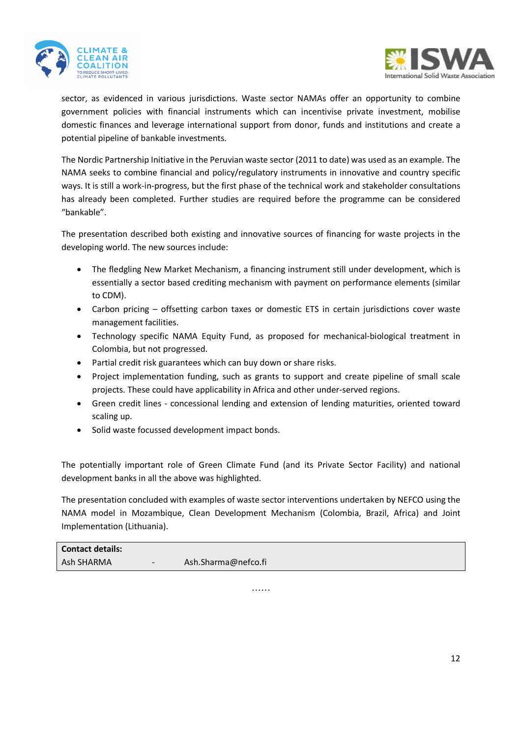



sector, as evidenced in various jurisdictions. Waste sector NAMAs offer an opportunity to combine government policies with financial instruments which can incentivise private investment, mobilise domestic finances and leverage international support from donor, funds and institutions and create a potential pipeline of bankable investments.

The Nordic Partnership Initiative in the Peruvian waste sector (2011 to date) was used as an example. The NAMA seeks to combine financial and policy/regulatory instruments in innovative and country specific ways. It is still a work-in-progress, but the first phase of the technical work and stakeholder consultations has already been completed. Further studies are required before the programme can be considered "bankable".

The presentation described both existing and innovative sources of financing for waste projects in the developing world. The new sources include:

- The fledgling New Market Mechanism, a financing instrument still under development, which is essentially a sector based crediting mechanism with payment on performance elements (similar to CDM).
- Carbon pricing offsetting carbon taxes or domestic ETS in certain jurisdictions cover waste management facilities.
- Technology specific NAMA Equity Fund, as proposed for mechanical-biological treatment in Colombia, but not progressed.
- Partial credit risk guarantees which can buy down or share risks.
- Project implementation funding, such as grants to support and create pipeline of small scale projects. These could have applicability in Africa and other under-served regions.
- Green credit lines concessional lending and extension of lending maturities, oriented toward scaling up.
- Solid waste focussed development impact bonds.

The potentially important role of Green Climate Fund (and its Private Sector Facility) and national development banks in all the above was highlighted.

The presentation concluded with examples of waste sector interventions undertaken by NEFCO using the NAMA model in Mozambique, Clean Development Mechanism (Colombia, Brazil, Africa) and Joint Implementation (Lithuania).

| <b>Contact details:</b> |        |                     |
|-------------------------|--------|---------------------|
| Ash SHARMA              | $\sim$ | Ash.Sharma@nefco.fi |

……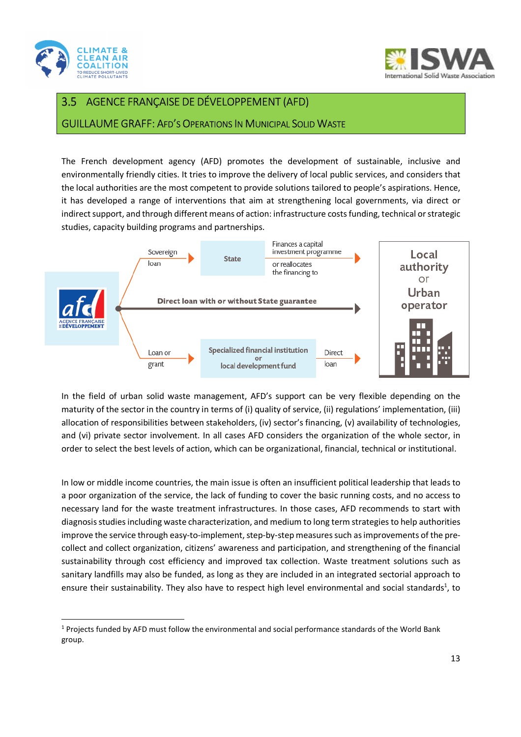

l



#### AGENCE FRANÇAISE DE DÉVELOPPEMENT (AFD)  $3.5$

GUILLAUME GRAFF: AFD'S OPERATIONS IN MUNICIPAL SOLID WASTE

The French development agency (AFD) promotes the development of sustainable, inclusive and environmentally friendly cities. It tries to improve the delivery of local public services, and considers that the local authorities are the most competent to provide solutions tailored to people's aspirations. Hence, it has developed a range of interventions that aim at strengthening local governments, via direct or indirect support, and through different means of action: infrastructure costs funding, technical or strategic studies, capacity building programs and partnerships.



In the field of urban solid waste management, AFD's support can be very flexible depending on the maturity of the sector in the country in terms of (i) quality of service, (ii) regulations' implementation, (iii) allocation of responsibilities between stakeholders, (iv) sector's financing, (v) availability of technologies, and (vi) private sector involvement. In all cases AFD considers the organization of the whole sector, in order to select the best levels of action, which can be organizational, financial, technical or institutional.

In low or middle income countries, the main issue is often an insufficient political leadership that leads to a poor organization of the service, the lack of funding to cover the basic running costs, and no access to necessary land for the waste treatment infrastructures. In those cases, AFD recommends to start with diagnosis studies including waste characterization, and medium to long term strategies to help authorities improve the service through easy-to-implement, step-by-step measures such as improvements of the precollect and collect organization, citizens' awareness and participation, and strengthening of the financial sustainability through cost efficiency and improved tax collection. Waste treatment solutions such as sanitary landfills may also be funded, as long as they are included in an integrated sectorial approach to ensure their sustainability. They also have to respect high level environmental and social standards<sup>1</sup>, to

<sup>&</sup>lt;sup>1</sup> Projects funded by AFD must follow the environmental and social performance standards of the World Bank group.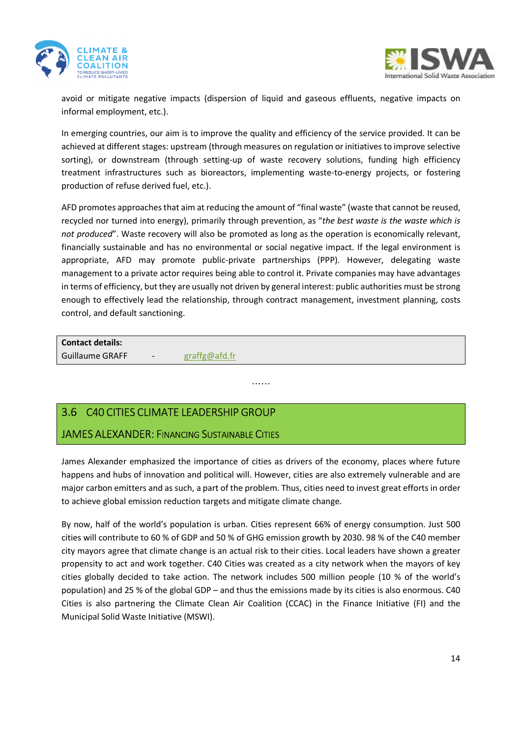



avoid or mitigate negative impacts (dispersion of liquid and gaseous effluents, negative impacts on informal employment, etc.).

In emerging countries, our aim is to improve the quality and efficiency of the service provided. It can be achieved at different stages: upstream (through measures on regulation or initiatives to improve selective sorting), or downstream (through setting-up of waste recovery solutions, funding high efficiency treatment infrastructures such as bioreactors, implementing waste-to-energy projects, or fostering production of refuse derived fuel, etc.).

AFD promotes approaches that aim at reducing the amount of "final waste" (waste that cannot be reused, recycled nor turned into energy), primarily through prevention, as "*the best waste is the waste which is not produced*". Waste recovery will also be promoted as long as the operation is economically relevant, financially sustainable and has no environmental or social negative impact. If the legal environment is appropriate, AFD may promote public-private partnerships (PPP). However, delegating waste management to a private actor requires being able to control it. Private companies may have advantages in terms of efficiency, but they are usually not driven by general interest: public authorities must be strong enough to effectively lead the relationship, through contract management, investment planning, costs control, and default sanctioning.

**Contact details:** 

Guillaume GRAFF - graffg@afd.fr

## C40 CITIES CLIMATE LEADERSHIP GROUP

## JAMES ALEXANDER: FINANCING SUSTAINABLE CITIES

James Alexander emphasized the importance of cities as drivers of the economy, places where future happens and hubs of innovation and political will. However, cities are also extremely vulnerable and are major carbon emitters and as such, a part of the problem. Thus, cities need to invest great efforts in order to achieve global emission reduction targets and mitigate climate change.

……

By now, half of the world's population is urban. Cities represent 66% of energy consumption. Just 500 cities will contribute to 60 % of GDP and 50 % of GHG emission growth by 2030. 98 % of the C40 member city mayors agree that climate change is an actual risk to their cities. Local leaders have shown a greater propensity to act and work together. C40 Cities was created as a city network when the mayors of key cities globally decided to take action. The network includes 500 million people (10 % of the world's population) and 25 % of the global GDP – and thus the emissions made by its cities is also enormous. C40 Cities is also partnering the Climate Clean Air Coalition (CCAC) in the Finance Initiative (FI) and the Municipal Solid Waste Initiative (MSWI).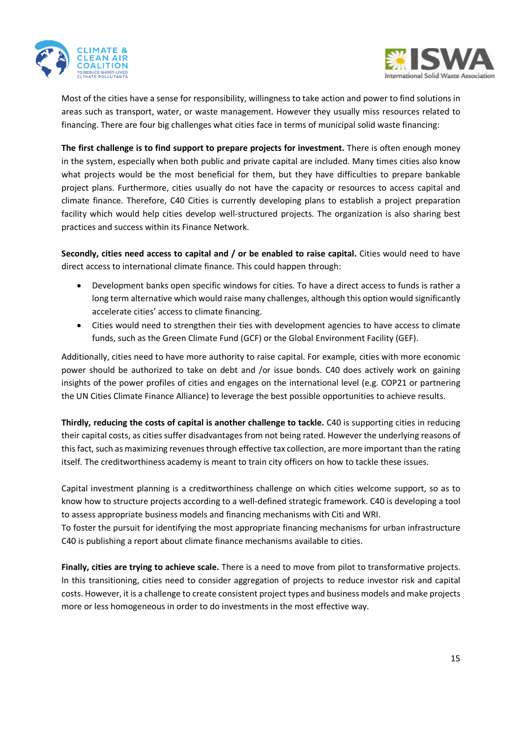



Most of the cities have a sense for responsibility, willingness to take action and power to find solutions in areas such as transport, water, or waste management. However they usually miss resources related to financing. There are four big challenges what cities face in terms of municipal solid waste financing:

**The first challenge is to find support to prepare projects for investment.** There is often enough money in the system, especially when both public and private capital are included. Many times cities also know what projects would be the most beneficial for them, but they have difficulties to prepare bankable project plans. Furthermore, cities usually do not have the capacity or resources to access capital and climate finance. Therefore, C40 Cities is currently developing plans to establish a project preparation facility which would help cities develop well-structured projects. The organization is also sharing best practices and success within its Finance Network.

**Secondly, cities need access to capital and / or be enabled to raise capital.** Cities would need to have direct access to international climate finance. This could happen through:

- Development banks open specific windows for cities. To have a direct access to funds is rather a long term alternative which would raise many challenges, although this option would significantly accelerate cities' access to climate financing.
- Cities would need to strengthen their ties with development agencies to have access to climate funds, such as the Green Climate Fund (GCF) or the Global Environment Facility (GEF).

Additionally, cities need to have more authority to raise capital. For example, cities with more economic power should be authorized to take on debt and /or issue bonds. C40 does actively work on gaining insights of the power profiles of cities and engages on the international level (e.g. COP21 or partnering the UN Cities Climate Finance Alliance) to leverage the best possible opportunities to achieve results.

**Thirdly, reducing the costs of capital is another challenge to tackle.** C40 is supporting cities in reducing their capital costs, as cities suffer disadvantages from not being rated. However the underlying reasons of this fact, such as maximizing revenues through effective tax collection, are more important than the rating itself. The creditworthiness academy is meant to train city officers on how to tackle these issues.

Capital investment planning is a creditworthiness challenge on which cities welcome support, so as to know how to structure projects according to a well-defined strategic framework. C40 is developing a tool to assess appropriate business models and financing mechanisms with Citi and WRI.

To foster the pursuit for identifying the most appropriate financing mechanisms for urban infrastructure C40 is publishing a report about climate finance mechanisms available to cities.

**Finally, cities are trying to achieve scale.** There is a need to move from pilot to transformative projects. In this transitioning, cities need to consider aggregation of projects to reduce investor risk and capital costs. However, it is a challenge to create consistent project types and business models and make projects more or less homogeneous in order to do investments in the most effective way.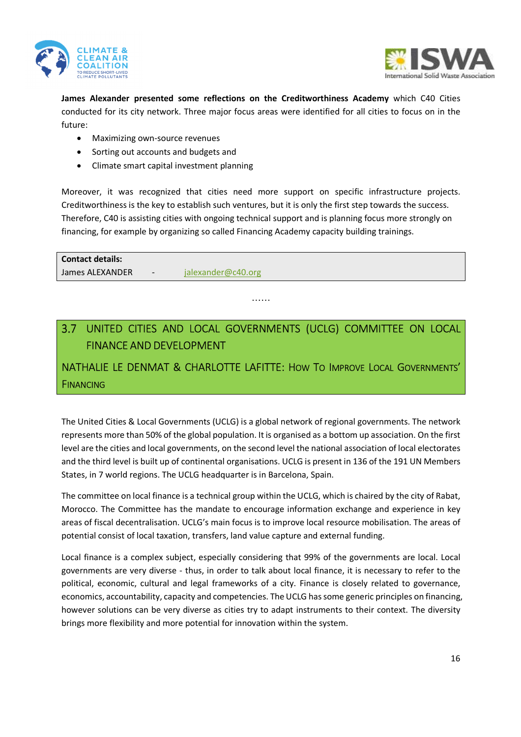



**James Alexander presented some reflections on the Creditworthiness Academy** which C40 Cities conducted for its city network. Three major focus areas were identified for all cities to focus on in the future:

- Maximizing own-source revenues
- Sorting out accounts and budgets and
- Climate smart capital investment planning

Moreover, it was recognized that cities need more support on specific infrastructure projects. Creditworthiness is the key to establish such ventures, but it is only the first step towards the success. Therefore, C40 is assisting cities with ongoing technical support and is planning focus more strongly on financing, for example by organizing so called Financing Academy capacity building trainings.

**Contact details:**  James ALEXANDER - jalexander@c40.org

## UNITED CITIES AND LOCAL GOVERNMENTS (UCLG) COMMITTEE ON LOCAL FINANCE AND DEVELOPMENT

……

## NATHALIE LE DENMAT & CHARLOTTE LAFITTE: HOW TO IMPROVE LOCAL GOVERNMENTS' **FINANCING**

The United Cities & Local Governments (UCLG) is a global network of regional governments. The network represents more than 50% of the global population. It is organised as a bottom up association. On the first level are the cities and local governments, on the second level the national association of local electorates and the third level is built up of continental organisations. UCLG is present in 136 of the 191 UN Members States, in 7 world regions. The UCLG headquarter is in Barcelona, Spain.

The committee on local finance is a technical group within the UCLG, which is chaired by the city of Rabat, Morocco. The Committee has the mandate to encourage information exchange and experience in key areas of fiscal decentralisation. UCLG's main focus is to improve local resource mobilisation. The areas of potential consist of local taxation, transfers, land value capture and external funding.

Local finance is a complex subject, especially considering that 99% of the governments are local. Local governments are very diverse - thus, in order to talk about local finance, it is necessary to refer to the political, economic, cultural and legal frameworks of a city. Finance is closely related to governance, economics, accountability, capacity and competencies. The UCLG has some generic principles on financing, however solutions can be very diverse as cities try to adapt instruments to their context. The diversity brings more flexibility and more potential for innovation within the system.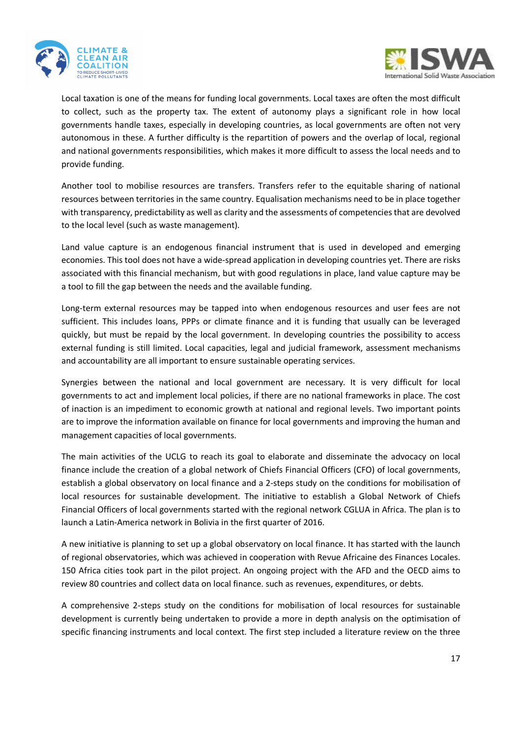



Local taxation is one of the means for funding local governments. Local taxes are often the most difficult to collect, such as the property tax. The extent of autonomy plays a significant role in how local governments handle taxes, especially in developing countries, as local governments are often not very autonomous in these. A further difficulty is the repartition of powers and the overlap of local, regional and national governments responsibilities, which makes it more difficult to assess the local needs and to provide funding.

Another tool to mobilise resources are transfers. Transfers refer to the equitable sharing of national resources between territories in the same country. Equalisation mechanisms need to be in place together with transparency, predictability as well as clarity and the assessments of competencies that are devolved to the local level (such as waste management).

Land value capture is an endogenous financial instrument that is used in developed and emerging economies. This tool does not have a wide-spread application in developing countries yet. There are risks associated with this financial mechanism, but with good regulations in place, land value capture may be a tool to fill the gap between the needs and the available funding.

Long-term external resources may be tapped into when endogenous resources and user fees are not sufficient. This includes loans, PPPs or climate finance and it is funding that usually can be leveraged quickly, but must be repaid by the local government. In developing countries the possibility to access external funding is still limited. Local capacities, legal and judicial framework, assessment mechanisms and accountability are all important to ensure sustainable operating services.

Synergies between the national and local government are necessary. It is very difficult for local governments to act and implement local policies, if there are no national frameworks in place. The cost of inaction is an impediment to economic growth at national and regional levels. Two important points are to improve the information available on finance for local governments and improving the human and management capacities of local governments.

The main activities of the UCLG to reach its goal to elaborate and disseminate the advocacy on local finance include the creation of a global network of Chiefs Financial Officers (CFO) of local governments, establish a global observatory on local finance and a 2-steps study on the conditions for mobilisation of local resources for sustainable development. The initiative to establish a Global Network of Chiefs Financial Officers of local governments started with the regional network CGLUA in Africa. The plan is to launch a Latin-America network in Bolivia in the first quarter of 2016.

A new initiative is planning to set up a global observatory on local finance. It has started with the launch of regional observatories, which was achieved in cooperation with Revue Africaine des Finances Locales. 150 Africa cities took part in the pilot project. An ongoing project with the AFD and the OECD aims to review 80 countries and collect data on local finance. such as revenues, expenditures, or debts.

A comprehensive 2-steps study on the conditions for mobilisation of local resources for sustainable development is currently being undertaken to provide a more in depth analysis on the optimisation of specific financing instruments and local context. The first step included a literature review on the three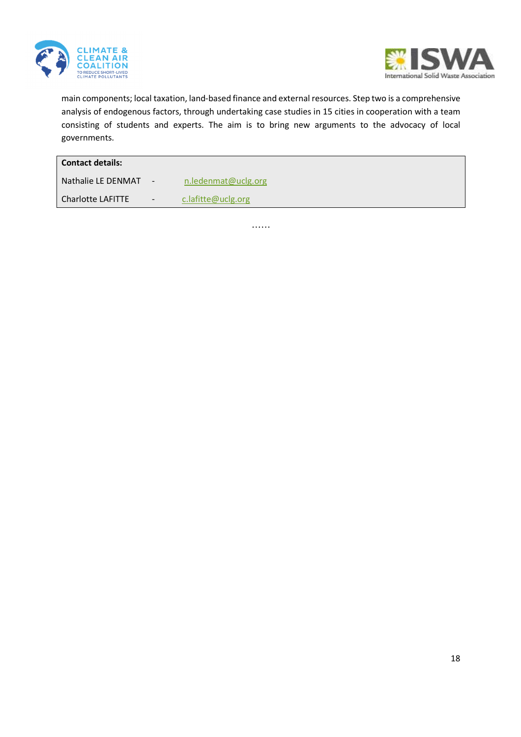



main components; local taxation, land-based finance and external resources. Step two is a comprehensive analysis of endogenous factors, through undertaking case studies in 15 cities in cooperation with a team consisting of students and experts. The aim is to bring new arguments to the advocacy of local governments.

| <b>Contact details:</b> |                          |                     |  |  |
|-------------------------|--------------------------|---------------------|--|--|
| Nathalie LE DENMAT      | $\overline{\phantom{a}}$ | n.ledenmat@uclg.org |  |  |
| Charlotte LAFITTE       | $\overline{\phantom{a}}$ | c.lafitte@uclg.org  |  |  |

……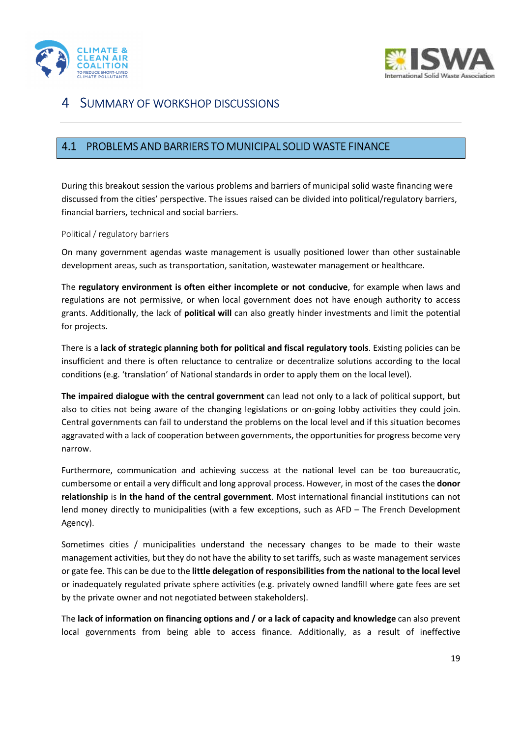



## 4 SUMMARY OF WORKSHOP DISCUSSIONS

### PROBLEMS AND BARRIERS TO MUNICIPAL SOLID WASTE FINANCE

During this breakout session the various problems and barriers of municipal solid waste financing were discussed from the cities' perspective. The issues raised can be divided into political/regulatory barriers, financial barriers, technical and social barriers.

#### Political / regulatory barriers

On many government agendas waste management is usually positioned lower than other sustainable development areas, such as transportation, sanitation, wastewater management or healthcare.

The **regulatory environment is often either incomplete or not conducive**, for example when laws and regulations are not permissive, or when local government does not have enough authority to access grants. Additionally, the lack of **political will** can also greatly hinder investments and limit the potential for projects.

There is a **lack of strategic planning both for political and fiscal regulatory tools**. Existing policies can be insufficient and there is often reluctance to centralize or decentralize solutions according to the local conditions (e.g. 'translation' of National standards in order to apply them on the local level).

**The impaired dialogue with the central government** can lead not only to a lack of political support, but also to cities not being aware of the changing legislations or on-going lobby activities they could join. Central governments can fail to understand the problems on the local level and if this situation becomes aggravated with a lack of cooperation between governments, the opportunities for progress become very narrow.

Furthermore, communication and achieving success at the national level can be too bureaucratic, cumbersome or entail a very difficult and long approval process. However, in most of the cases the **donor relationship** is **in the hand of the central government**. Most international financial institutions can not lend money directly to municipalities (with a few exceptions, such as AFD – The French Development Agency).

Sometimes cities / municipalities understand the necessary changes to be made to their waste management activities, but they do not have the ability to set tariffs, such as waste management services or gate fee. This can be due to the **little delegation of responsibilities from the national to the local level** or inadequately regulated private sphere activities (e.g. privately owned landfill where gate fees are set by the private owner and not negotiated between stakeholders).

The **lack of information on financing options and / or a lack of capacity and knowledge** can also prevent local governments from being able to access finance. Additionally, as a result of ineffective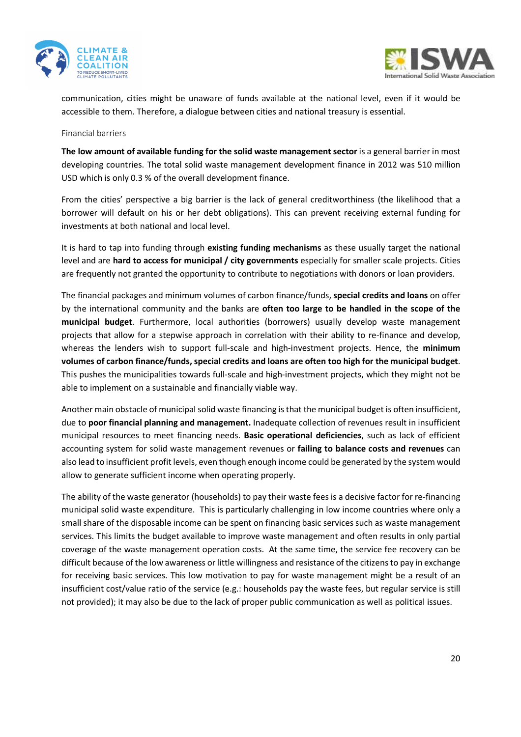



communication, cities might be unaware of funds available at the national level, even if it would be accessible to them. Therefore, a dialogue between cities and national treasury is essential.

#### Financial barriers

**The low amount of available funding for the solid waste management sector** is a general barrier in most developing countries. The total solid waste management development finance in 2012 was 510 million USD which is only 0.3 % of the overall development finance.

From the cities' perspective a big barrier is the lack of general creditworthiness (the likelihood that a borrower will default on his or her debt obligations). This can prevent receiving external funding for investments at both national and local level.

It is hard to tap into funding through **existing funding mechanisms** as these usually target the national level and are **hard to access for municipal / city governments** especially for smaller scale projects. Cities are frequently not granted the opportunity to contribute to negotiations with donors or loan providers.

The financial packages and minimum volumes of carbon finance/funds, **special credits and loans** on offer by the international community and the banks are **often too large to be handled in the scope of the municipal budget**. Furthermore, local authorities (borrowers) usually develop waste management projects that allow for a stepwise approach in correlation with their ability to re-finance and develop, whereas the lenders wish to support full-scale and high-investment projects. Hence, the **minimum volumes of carbon finance/funds, special credits and loans are often too high for the municipal budget**. This pushes the municipalities towards full-scale and high-investment projects, which they might not be able to implement on a sustainable and financially viable way.

Another main obstacle of municipal solid waste financing is that the municipal budget is often insufficient, due to **poor financial planning and management.** Inadequate collection of revenues result in insufficient municipal resources to meet financing needs. **Basic operational deficiencies**, such as lack of efficient accounting system for solid waste management revenues or **failing to balance costs and revenues** can also lead to insufficient profit levels, even though enough income could be generated by the system would allow to generate sufficient income when operating properly.

The ability of the waste generator (households) to pay their waste fees is a decisive factor for re-financing municipal solid waste expenditure. This is particularly challenging in low income countries where only a small share of the disposable income can be spent on financing basic services such as waste management services. This limits the budget available to improve waste management and often results in only partial coverage of the waste management operation costs. At the same time, the service fee recovery can be difficult because of the low awareness or little willingness and resistance of the citizens to pay in exchange for receiving basic services. This low motivation to pay for waste management might be a result of an insufficient cost/value ratio of the service (e.g.: households pay the waste fees, but regular service is still not provided); it may also be due to the lack of proper public communication as well as political issues.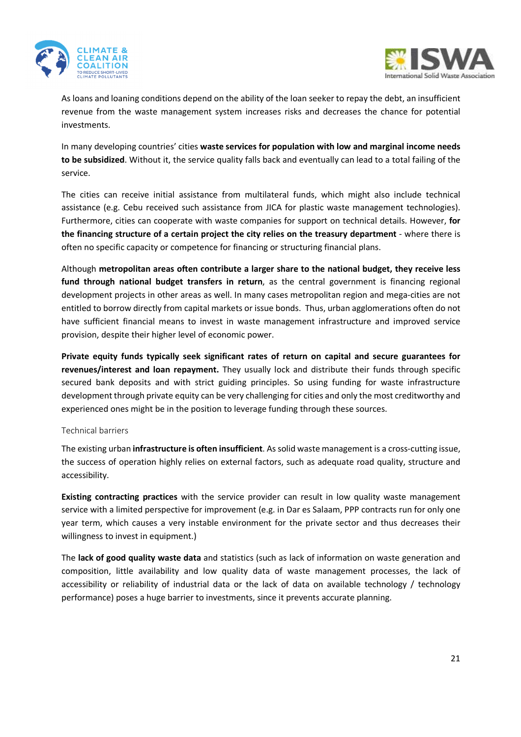



As loans and loaning conditions depend on the ability of the loan seeker to repay the debt, an insufficient revenue from the waste management system increases risks and decreases the chance for potential investments.

In many developing countries' cities **waste services for population with low and marginal income needs to be subsidized**. Without it, the service quality falls back and eventually can lead to a total failing of the service.

The cities can receive initial assistance from multilateral funds, which might also include technical assistance (e.g. Cebu received such assistance from JICA for plastic waste management technologies). Furthermore, cities can cooperate with waste companies for support on technical details. However, **for the financing structure of a certain project the city relies on the treasury department** - where there is often no specific capacity or competence for financing or structuring financial plans.

Although **metropolitan areas often contribute a larger share to the national budget, they receive less fund through national budget transfers in return**, as the central government is financing regional development projects in other areas as well. In many cases metropolitan region and mega-cities are not entitled to borrow directly from capital markets or issue bonds. Thus, urban agglomerations often do not have sufficient financial means to invest in waste management infrastructure and improved service provision, despite their higher level of economic power.

**Private equity funds typically seek significant rates of return on capital and secure guarantees for revenues/interest and loan repayment.** They usually lock and distribute their funds through specific secured bank deposits and with strict guiding principles. So using funding for waste infrastructure development through private equity can be very challenging for cities and only the most creditworthy and experienced ones might be in the position to leverage funding through these sources.

### Technical barriers

The existing urban **infrastructure is often insufficient**. As solid waste management is a cross-cutting issue, the success of operation highly relies on external factors, such as adequate road quality, structure and accessibility.

**Existing contracting practices** with the service provider can result in low quality waste management service with a limited perspective for improvement (e.g. in Dar es Salaam, PPP contracts run for only one year term, which causes a very instable environment for the private sector and thus decreases their willingness to invest in equipment.)

The **lack of good quality waste data** and statistics (such as lack of information on waste generation and composition, little availability and low quality data of waste management processes, the lack of accessibility or reliability of industrial data or the lack of data on available technology / technology performance) poses a huge barrier to investments, since it prevents accurate planning.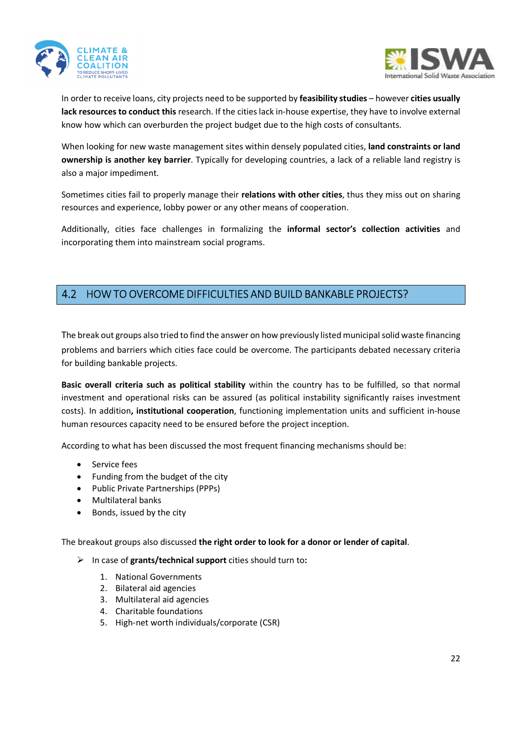



In order to receive loans, city projects need to be supported by **feasibility studies** – however **cities usually lack resources to conduct this** research. If the cities lack in-house expertise, they have to involve external know how which can overburden the project budget due to the high costs of consultants.

When looking for new waste management sites within densely populated cities, **land constraints or land ownership is another key barrier**. Typically for developing countries, a lack of a reliable land registry is also a major impediment.

Sometimes cities fail to properly manage their **relations with other cities**, thus they miss out on sharing resources and experience, lobby power or any other means of cooperation.

Additionally, cities face challenges in formalizing the **informal sector's collection activities** and incorporating them into mainstream social programs.

## 4.2 HOW TO OVERCOME DIFFICULTIES AND BUILD BANKABLE PROJECTS?

The break out groups also tried to find the answer on how previously listed municipal solid waste financing problems and barriers which cities face could be overcome. The participants debated necessary criteria for building bankable projects.

**Basic overall criteria such as political stability** within the country has to be fulfilled, so that normal investment and operational risks can be assured (as political instability significantly raises investment costs). In addition**, institutional cooperation**, functioning implementation units and sufficient in-house human resources capacity need to be ensured before the project inception.

According to what has been discussed the most frequent financing mechanisms should be:

- Service fees
- Funding from the budget of the city
- Public Private Partnerships (PPPs)
- Multilateral banks
- Bonds, issued by the city

The breakout groups also discussed **the right order to look for a donor or lender of capital**.

- In case of **grants/technical support** cities should turn to**:**
	- 1. National Governments
	- 2. Bilateral aid agencies
	- 3. Multilateral aid agencies
	- 4. Charitable foundations
	- 5. High-net worth individuals/corporate (CSR)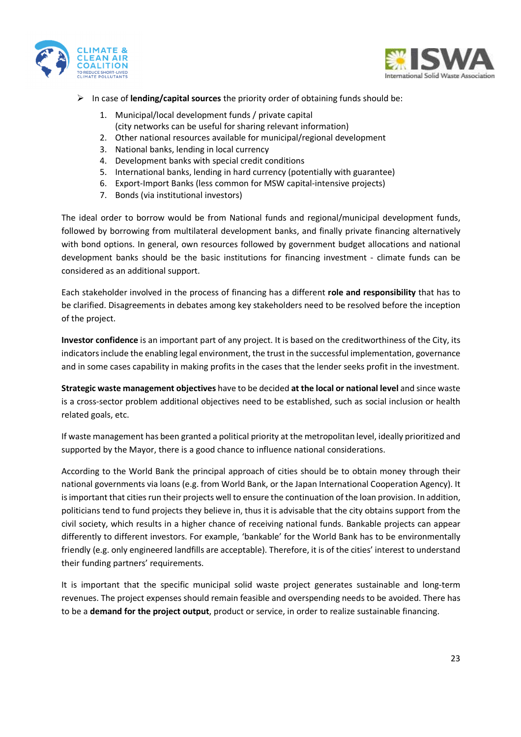



- In case of **lending/capital sources** the priority order of obtaining funds should be:
	- 1. Municipal/local development funds / private capital (city networks can be useful for sharing relevant information)
	- 2. Other national resources available for municipal/regional development
	- 3. National banks, lending in local currency
	- 4. Development banks with special credit conditions
	- 5. International banks, lending in hard currency (potentially with guarantee)
	- 6. Export-Import Banks (less common for MSW capital-intensive projects)
	- 7. Bonds (via institutional investors)

The ideal order to borrow would be from National funds and regional/municipal development funds, followed by borrowing from multilateral development banks, and finally private financing alternatively with bond options. In general, own resources followed by government budget allocations and national development banks should be the basic institutions for financing investment - climate funds can be considered as an additional support.

Each stakeholder involved in the process of financing has a different **role and responsibility** that has to be clarified. Disagreements in debates among key stakeholders need to be resolved before the inception of the project.

**Investor confidence** is an important part of any project. It is based on the creditworthiness of the City, its indicators include the enabling legal environment, the trust in the successful implementation, governance and in some cases capability in making profits in the cases that the lender seeks profit in the investment.

**Strategic waste management objectives** have to be decided **at the local or national level** and since waste is a cross-sector problem additional objectives need to be established, such as social inclusion or health related goals, etc.

If waste management has been granted a political priority at the metropolitan level, ideally prioritized and supported by the Mayor, there is a good chance to influence national considerations.

According to the World Bank the principal approach of cities should be to obtain money through their national governments via loans (e.g. from World Bank, or the Japan International Cooperation Agency). It is important that cities run their projects well to ensure the continuation of the loan provision. In addition, politicians tend to fund projects they believe in, thus it is advisable that the city obtains support from the civil society, which results in a higher chance of receiving national funds. Bankable projects can appear differently to different investors. For example, 'bankable' for the World Bank has to be environmentally friendly (e.g. only engineered landfills are acceptable). Therefore, it is of the cities' interest to understand their funding partners' requirements.

It is important that the specific municipal solid waste project generates sustainable and long-term revenues. The project expenses should remain feasible and overspending needs to be avoided. There has to be a **demand for the project output**, product or service, in order to realize sustainable financing.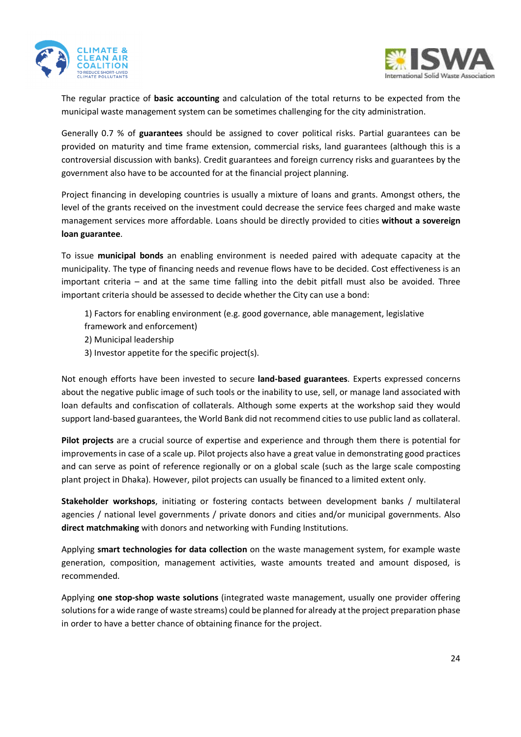



The regular practice of **basic accounting** and calculation of the total returns to be expected from the municipal waste management system can be sometimes challenging for the city administration.

Generally 0.7 % of **guarantees** should be assigned to cover political risks. Partial guarantees can be provided on maturity and time frame extension, commercial risks, land guarantees (although this is a controversial discussion with banks). Credit guarantees and foreign currency risks and guarantees by the government also have to be accounted for at the financial project planning.

Project financing in developing countries is usually a mixture of loans and grants. Amongst others, the level of the grants received on the investment could decrease the service fees charged and make waste management services more affordable. Loans should be directly provided to cities **without a sovereign loan guarantee**.

To issue **municipal bonds** an enabling environment is needed paired with adequate capacity at the municipality. The type of financing needs and revenue flows have to be decided. Cost effectiveness is an important criteria – and at the same time falling into the debit pitfall must also be avoided. Three important criteria should be assessed to decide whether the City can use a bond:

1) Factors for enabling environment (e.g. good governance, able management, legislative

- framework and enforcement)
- 2) Municipal leadership
- 3) Investor appetite for the specific project(s).

Not enough efforts have been invested to secure **land-based guarantees**. Experts expressed concerns about the negative public image of such tools or the inability to use, sell, or manage land associated with loan defaults and confiscation of collaterals. Although some experts at the workshop said they would support land-based guarantees, the World Bank did not recommend cities to use public land as collateral.

**Pilot projects** are a crucial source of expertise and experience and through them there is potential for improvements in case of a scale up. Pilot projects also have a great value in demonstrating good practices and can serve as point of reference regionally or on a global scale (such as the large scale composting plant project in Dhaka). However, pilot projects can usually be financed to a limited extent only.

**Stakeholder workshops**, initiating or fostering contacts between development banks / multilateral agencies / national level governments / private donors and cities and/or municipal governments. Also **direct matchmaking** with donors and networking with Funding Institutions.

Applying **smart technologies for data collection** on the waste management system, for example waste generation, composition, management activities, waste amounts treated and amount disposed, is recommended.

Applying **one stop-shop waste solutions** (integrated waste management, usually one provider offering solutions for a wide range of waste streams) could be planned for already at the project preparation phase in order to have a better chance of obtaining finance for the project.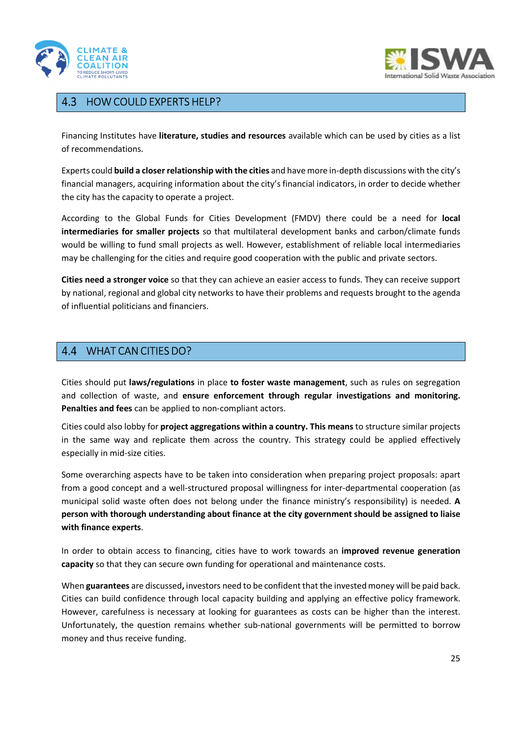



#### $4.3$ HOW COULD EXPERTS HELP?

Financing Institutes have **literature, studies and resources** available which can be used by cities as a list of recommendations.

Experts could **build a closer relationship with the cities** and have more in-depth discussions with the city's financial managers, acquiring information about the city's financial indicators, in order to decide whether the city has the capacity to operate a project.

According to the Global Funds for Cities Development (FMDV) there could be a need for **local intermediaries for smaller projects** so that multilateral development banks and carbon/climate funds would be willing to fund small projects as well. However, establishment of reliable local intermediaries may be challenging for the cities and require good cooperation with the public and private sectors.

**Cities need a stronger voice** so that they can achieve an easier access to funds. They can receive support by national, regional and global city networks to have their problems and requests brought to the agenda of influential politicians and financiers.

## WHAT CAN CITIES DO?

Cities should put **laws/regulations** in place **to foster waste management**, such as rules on segregation and collection of waste, and **ensure enforcement through regular investigations and monitoring. Penalties and fees** can be applied to non-compliant actors.

Cities could also lobby for **project aggregations within a country. This means** to structure similar projects in the same way and replicate them across the country. This strategy could be applied effectively especially in mid-size cities.

Some overarching aspects have to be taken into consideration when preparing project proposals: apart from a good concept and a well-structured proposal willingness for inter-departmental cooperation (as municipal solid waste often does not belong under the finance ministry's responsibility) is needed. **A person with thorough understanding about finance at the city government should be assigned to liaise with finance experts**.

In order to obtain access to financing, cities have to work towards an **improved revenue generation capacity** so that they can secure own funding for operational and maintenance costs.

When **guarantees** are discussed**,** investors need to be confident that the invested money will be paid back. Cities can build confidence through local capacity building and applying an effective policy framework. However, carefulness is necessary at looking for guarantees as costs can be higher than the interest. Unfortunately, the question remains whether sub-national governments will be permitted to borrow money and thus receive funding.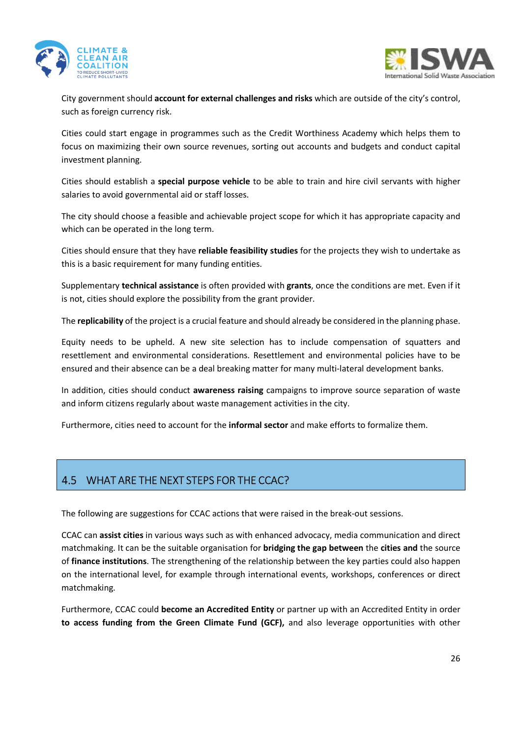



City government should **account for external challenges and risks** which are outside of the city's control, such as foreign currency risk.

Cities could start engage in programmes such as the Credit Worthiness Academy which helps them to focus on maximizing their own source revenues, sorting out accounts and budgets and conduct capital investment planning.

Cities should establish a **special purpose vehicle** to be able to train and hire civil servants with higher salaries to avoid governmental aid or staff losses.

The city should choose a feasible and achievable project scope for which it has appropriate capacity and which can be operated in the long term.

Cities should ensure that they have **reliable feasibility studies** for the projects they wish to undertake as this is a basic requirement for many funding entities.

Supplementary **technical assistance** is often provided with **grants**, once the conditions are met. Even if it is not, cities should explore the possibility from the grant provider.

The **replicability** of the project is a crucial feature and should already be considered in the planning phase.

Equity needs to be upheld. A new site selection has to include compensation of squatters and resettlement and environmental considerations. Resettlement and environmental policies have to be ensured and their absence can be a deal breaking matter for many multi-lateral development banks.

In addition, cities should conduct **awareness raising** campaigns to improve source separation of waste and inform citizens regularly about waste management activities in the city.

Furthermore, cities need to account for the **informal sector** and make efforts to formalize them.

## WHAT ARE THE NEXT STEPS FOR THE CCAC?

The following are suggestions for CCAC actions that were raised in the break-out sessions.

CCAC can **assist cities** in various ways such as with enhanced advocacy, media communication and direct matchmaking. It can be the suitable organisation for **bridging the gap between** the **cities and** the source of **finance institutions**. The strengthening of the relationship between the key parties could also happen on the international level, for example through international events, workshops, conferences or direct matchmaking.

Furthermore, CCAC could **become an Accredited Entity** or partner up with an Accredited Entity in order **to access funding from the Green Climate Fund (GCF),** and also leverage opportunities with other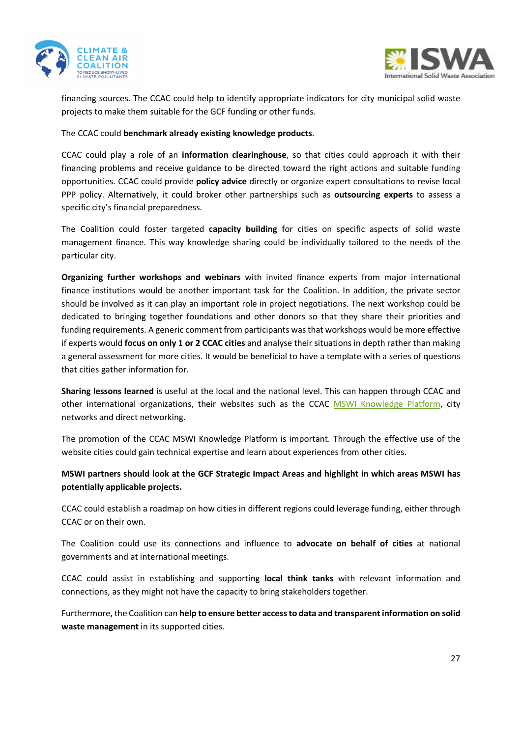



financing sources. The CCAC could help to identify appropriate indicators for city municipal solid waste projects to make them suitable for the GCF funding or other funds.

### The CCAC could **benchmark already existing knowledge products**.

CCAC could play a role of an **information clearinghouse**, so that cities could approach it with their financing problems and receive guidance to be directed toward the right actions and suitable funding opportunities. CCAC could provide **policy advice** directly or organize expert consultations to revise local PPP policy. Alternatively, it could broker other partnerships such as **outsourcing experts** to assess a specific city's financial preparedness.

The Coalition could foster targeted **capacity building** for cities on specific aspects of solid waste management finance. This way knowledge sharing could be individually tailored to the needs of the particular city.

**Organizing further workshops and webinars** with invited finance experts from major international finance institutions would be another important task for the Coalition. In addition, the private sector should be involved as it can play an important role in project negotiations. The next workshop could be dedicated to bringing together foundations and other donors so that they share their priorities and funding requirements. A generic comment from participants was that workshops would be more effective if experts would **focus on only 1 or 2 CCAC cities** and analyse their situations in depth rather than making a general assessment for more cities. It would be beneficial to have a template with a series of questions that cities gather information for.

**Sharing lessons learned** is useful at the local and the national level. This can happen through CCAC and other international organizations, their websites such as the CCAC MSWI Knowledge Platform, city networks and direct networking.

The promotion of the CCAC MSWI Knowledge Platform is important. Through the effective use of the website cities could gain technical expertise and learn about experiences from other cities.

### **MSWI partners should look at the GCF Strategic Impact Areas and highlight in which areas MSWI has potentially applicable projects.**

CCAC could establish a roadmap on how cities in different regions could leverage funding, either through CCAC or on their own.

The Coalition could use its connections and influence to **advocate on behalf of cities** at national governments and at international meetings.

CCAC could assist in establishing and supporting **local think tanks** with relevant information and connections, as they might not have the capacity to bring stakeholders together.

Furthermore, the Coalition can **help to ensure better access to data and transparent information on solid waste management** in its supported cities.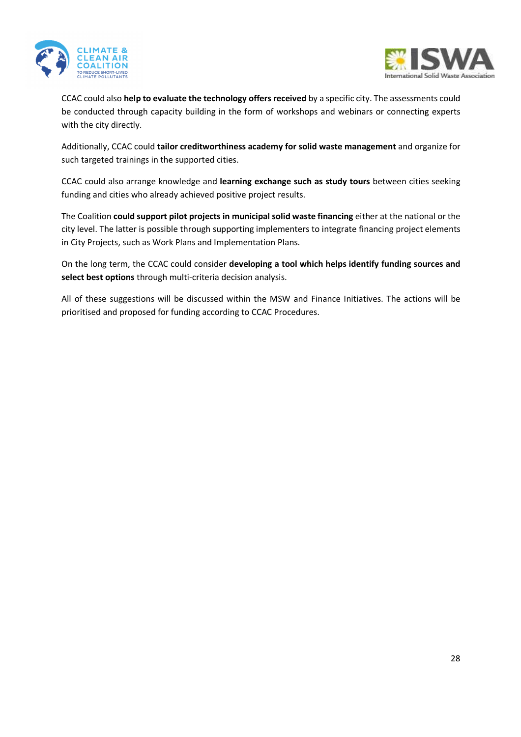



CCAC could also **help to evaluate the technology offers received** by a specific city. The assessments could be conducted through capacity building in the form of workshops and webinars or connecting experts with the city directly.

Additionally, CCAC could **tailor creditworthiness academy for solid waste management** and organize for such targeted trainings in the supported cities.

CCAC could also arrange knowledge and **learning exchange such as study tours** between cities seeking funding and cities who already achieved positive project results.

The Coalition **could support pilot projects in municipal solid waste financing** either at the national or the city level. The latter is possible through supporting implementers to integrate financing project elements in City Projects, such as Work Plans and Implementation Plans.

On the long term, the CCAC could consider **developing a tool which helps identify funding sources and select best options** through multi-criteria decision analysis.

All of these suggestions will be discussed within the MSW and Finance Initiatives. The actions will be prioritised and proposed for funding according to CCAC Procedures.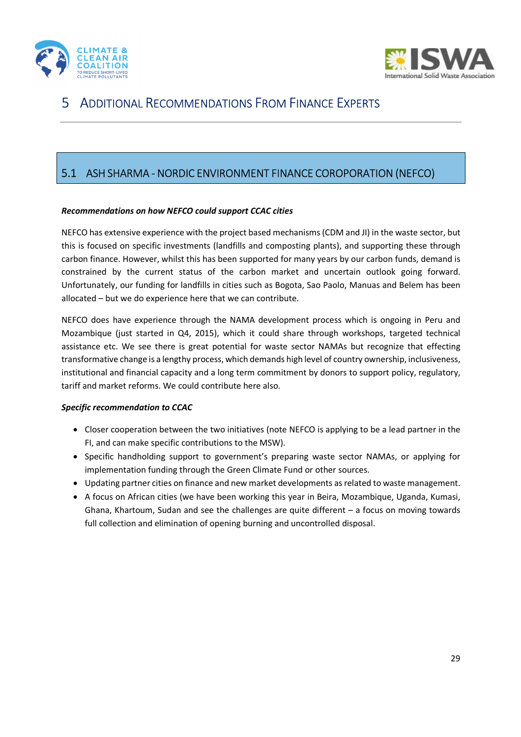



## 5 ADDITIONAL RECOMMENDATIONS FROM FINANCE EXPERTS

## 5.1 ASH SHARMA - NORDIC ENVIRONMENT FINANCE COROPORATION (NEFCO)

### *Recommendations on how NEFCO could support CCAC cities*

NEFCO has extensive experience with the project based mechanisms (CDM and JI) in the waste sector, but this is focused on specific investments (landfills and composting plants), and supporting these through carbon finance. However, whilst this has been supported for many years by our carbon funds, demand is constrained by the current status of the carbon market and uncertain outlook going forward. Unfortunately, our funding for landfills in cities such as Bogota, Sao Paolo, Manuas and Belem has been allocated – but we do experience here that we can contribute.

NEFCO does have experience through the NAMA development process which is ongoing in Peru and Mozambique (just started in Q4, 2015), which it could share through workshops, targeted technical assistance etc. We see there is great potential for waste sector NAMAs but recognize that effecting transformative change is a lengthy process, which demands high level of country ownership, inclusiveness, institutional and financial capacity and a long term commitment by donors to support policy, regulatory, tariff and market reforms. We could contribute here also.

### *Specific recommendation to CCAC*

- Closer cooperation between the two initiatives (note NEFCO is applying to be a lead partner in the FI, and can make specific contributions to the MSW).
- Specific handholding support to government's preparing waste sector NAMAs, or applying for implementation funding through the Green Climate Fund or other sources.
- Updating partner cities on finance and new market developments as related to waste management.
- A focus on African cities (we have been working this year in Beira, Mozambique, Uganda, Kumasi, Ghana, Khartoum, Sudan and see the challenges are quite different – a focus on moving towards full collection and elimination of opening burning and uncontrolled disposal.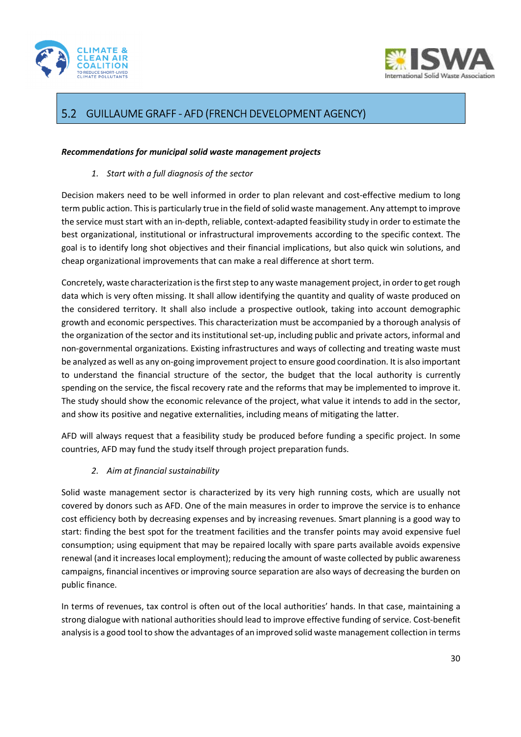



## GUILLAUME GRAFF - AFD (FRENCH DEVELOPMENT AGENCY)

### *Recommendations for municipal solid waste management projects*

*1. Start with a full diagnosis of the sector* 

Decision makers need to be well informed in order to plan relevant and cost-effective medium to long term public action. This is particularly true in the field of solid waste management. Any attempt to improve the service must start with an in-depth, reliable, context-adapted feasibility study in order to estimate the best organizational, institutional or infrastructural improvements according to the specific context. The goal is to identify long shot objectives and their financial implications, but also quick win solutions, and cheap organizational improvements that can make a real difference at short term.

Concretely, waste characterization is the first step to any waste management project, in order to get rough data which is very often missing. It shall allow identifying the quantity and quality of waste produced on the considered territory. It shall also include a prospective outlook, taking into account demographic growth and economic perspectives. This characterization must be accompanied by a thorough analysis of the organization of the sector and its institutional set-up, including public and private actors, informal and non-governmental organizations. Existing infrastructures and ways of collecting and treating waste must be analyzed as well as any on-going improvement project to ensure good coordination. It is also important to understand the financial structure of the sector, the budget that the local authority is currently spending on the service, the fiscal recovery rate and the reforms that may be implemented to improve it. The study should show the economic relevance of the project, what value it intends to add in the sector, and show its positive and negative externalities, including means of mitigating the latter.

AFD will always request that a feasibility study be produced before funding a specific project. In some countries, AFD may fund the study itself through project preparation funds.

### *2. Aim at financial sustainability*

Solid waste management sector is characterized by its very high running costs, which are usually not covered by donors such as AFD. One of the main measures in order to improve the service is to enhance cost efficiency both by decreasing expenses and by increasing revenues. Smart planning is a good way to start: finding the best spot for the treatment facilities and the transfer points may avoid expensive fuel consumption; using equipment that may be repaired locally with spare parts available avoids expensive renewal (and it increases local employment); reducing the amount of waste collected by public awareness campaigns, financial incentives or improving source separation are also ways of decreasing the burden on public finance.

In terms of revenues, tax control is often out of the local authorities' hands. In that case, maintaining a strong dialogue with national authorities should lead to improve effective funding of service. Cost-benefit analysis is a good tool to show the advantages of an improved solid waste management collection in terms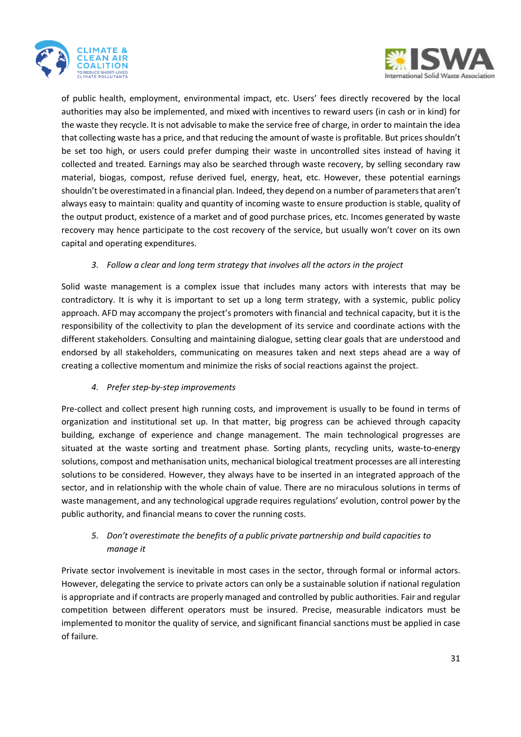



of public health, employment, environmental impact, etc. Users' fees directly recovered by the local authorities may also be implemented, and mixed with incentives to reward users (in cash or in kind) for the waste they recycle. It is not advisable to make the service free of charge, in order to maintain the idea that collecting waste has a price, and that reducing the amount of waste is profitable. But prices shouldn't be set too high, or users could prefer dumping their waste in uncontrolled sites instead of having it collected and treated. Earnings may also be searched through waste recovery, by selling secondary raw material, biogas, compost, refuse derived fuel, energy, heat, etc. However, these potential earnings shouldn't be overestimated in a financial plan. Indeed, they depend on a number of parameters that aren't always easy to maintain: quality and quantity of incoming waste to ensure production is stable, quality of the output product, existence of a market and of good purchase prices, etc. Incomes generated by waste recovery may hence participate to the cost recovery of the service, but usually won't cover on its own capital and operating expenditures.

### *3. Follow a clear and long term strategy that involves all the actors in the project*

Solid waste management is a complex issue that includes many actors with interests that may be contradictory. It is why it is important to set up a long term strategy, with a systemic, public policy approach. AFD may accompany the project's promoters with financial and technical capacity, but it is the responsibility of the collectivity to plan the development of its service and coordinate actions with the different stakeholders. Consulting and maintaining dialogue, setting clear goals that are understood and endorsed by all stakeholders, communicating on measures taken and next steps ahead are a way of creating a collective momentum and minimize the risks of social reactions against the project.

### *4. Prefer step-by-step improvements*

Pre-collect and collect present high running costs, and improvement is usually to be found in terms of organization and institutional set up. In that matter, big progress can be achieved through capacity building, exchange of experience and change management. The main technological progresses are situated at the waste sorting and treatment phase. Sorting plants, recycling units, waste-to-energy solutions, compost and methanisation units, mechanical biological treatment processes are all interesting solutions to be considered. However, they always have to be inserted in an integrated approach of the sector, and in relationship with the whole chain of value. There are no miraculous solutions in terms of waste management, and any technological upgrade requires regulations' evolution, control power by the public authority, and financial means to cover the running costs.

### *5. Don't overestimate the benefits of a public private partnership and build capacities to manage it*

Private sector involvement is inevitable in most cases in the sector, through formal or informal actors. However, delegating the service to private actors can only be a sustainable solution if national regulation is appropriate and if contracts are properly managed and controlled by public authorities. Fair and regular competition between different operators must be insured. Precise, measurable indicators must be implemented to monitor the quality of service, and significant financial sanctions must be applied in case of failure.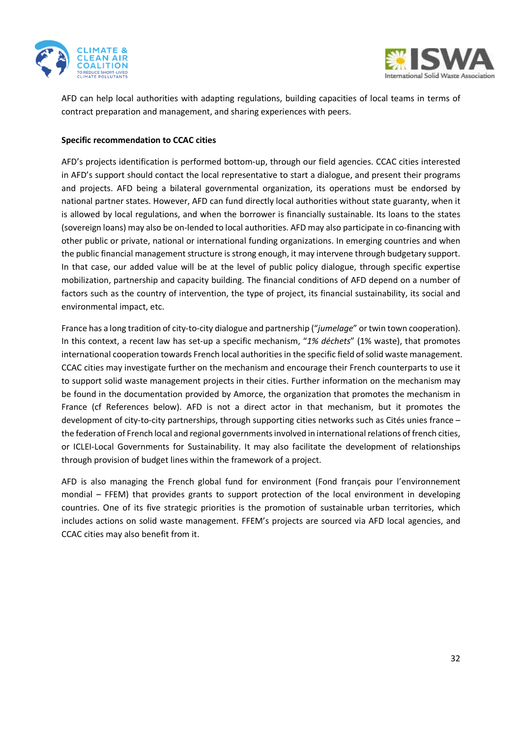



AFD can help local authorities with adapting regulations, building capacities of local teams in terms of contract preparation and management, and sharing experiences with peers.

### **Specific recommendation to CCAC cities**

AFD's projects identification is performed bottom-up, through our field agencies. CCAC cities interested in AFD's support should contact the local representative to start a dialogue, and present their programs and projects. AFD being a bilateral governmental organization, its operations must be endorsed by national partner states. However, AFD can fund directly local authorities without state guaranty, when it is allowed by local regulations, and when the borrower is financially sustainable. Its loans to the states (sovereign loans) may also be on-lended to local authorities. AFD may also participate in co-financing with other public or private, national or international funding organizations. In emerging countries and when the public financial management structure is strong enough, it may intervene through budgetary support. In that case, our added value will be at the level of public policy dialogue, through specific expertise mobilization, partnership and capacity building. The financial conditions of AFD depend on a number of factors such as the country of intervention, the type of project, its financial sustainability, its social and environmental impact, etc.

France has a long tradition of city-to-city dialogue and partnership ("*jumelage*" or twin town cooperation). In this context, a recent law has set-up a specific mechanism, "*1% déchets*" (1% waste), that promotes international cooperation towards French local authorities in the specific field of solid waste management. CCAC cities may investigate further on the mechanism and encourage their French counterparts to use it to support solid waste management projects in their cities. Further information on the mechanism may be found in the documentation provided by Amorce, the organization that promotes the mechanism in France (cf References below). AFD is not a direct actor in that mechanism, but it promotes the development of city-to-city partnerships, through supporting cities networks such as Cités unies france – the federation of French local and regional governments involved in international relations of french cities, or ICLEI-Local Governments for Sustainability. It may also facilitate the development of relationships through provision of budget lines within the framework of a project.

AFD is also managing the French global fund for environment (Fond français pour l'environnement mondial – FFEM) that provides grants to support protection of the local environment in developing countries. One of its five strategic priorities is the promotion of sustainable urban territories, which includes actions on solid waste management. FFEM's projects are sourced via AFD local agencies, and CCAC cities may also benefit from it.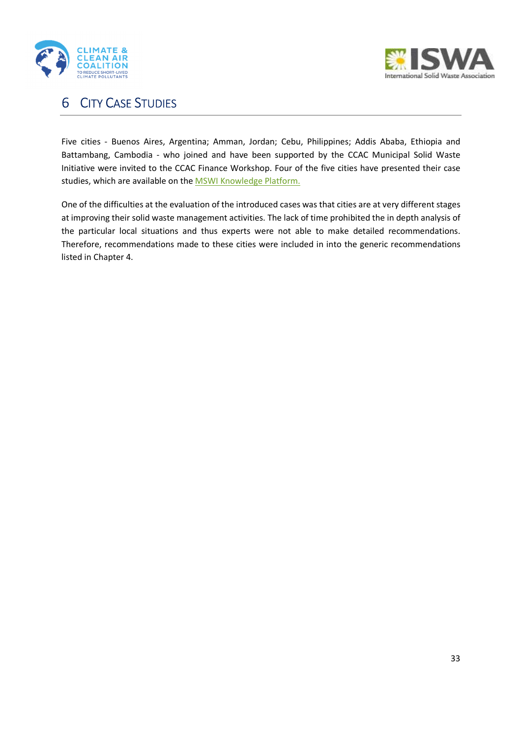



## 6 CITY CASE STUDIES

Five cities - Buenos Aires, Argentina; Amman, Jordan; Cebu, Philippines; Addis Ababa, Ethiopia and Battambang, Cambodia - who joined and have been supported by the CCAC Municipal Solid Waste Initiative were invited to the CCAC Finance Workshop. Four of the five cities have presented their case studies, which are available on the MSWI Knowledge Platform.

One of the difficulties at the evaluation of the introduced cases was that cities are at very different stages at improving their solid waste management activities. The lack of time prohibited the in depth analysis of the particular local situations and thus experts were not able to make detailed recommendations. Therefore, recommendations made to these cities were included in into the generic recommendations listed in Chapter 4.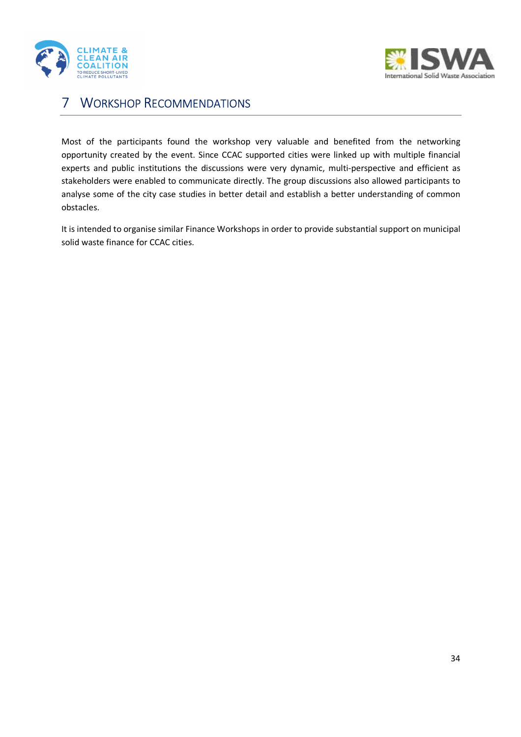



## 7 WORKSHOP RECOMMENDATIONS

Most of the participants found the workshop very valuable and benefited from the networking opportunity created by the event. Since CCAC supported cities were linked up with multiple financial experts and public institutions the discussions were very dynamic, multi-perspective and efficient as stakeholders were enabled to communicate directly. The group discussions also allowed participants to analyse some of the city case studies in better detail and establish a better understanding of common obstacles.

It is intended to organise similar Finance Workshops in order to provide substantial support on municipal solid waste finance for CCAC cities.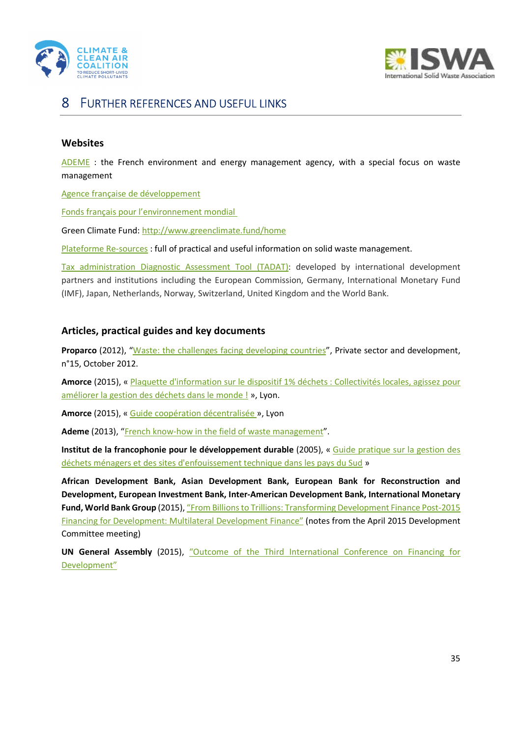



## 8 FURTHER REFERENCES AND USEFUL LINKS

### **Websites**

ADEME : the French environment and energy management agency, with a special focus on waste management

Agence française de développement

Fonds français pour l'environnement mondial

Green Climate Fund: http://www.greenclimate.fund/home

Plateforme Re-sources : full of practical and useful information on solid waste management.

Tax administration Diagnostic Assessment Tool (TADAT): developed by international development partners and institutions including the European Commission, Germany, International Monetary Fund (IMF), Japan, Netherlands, Norway, Switzerland, United Kingdom and the World Bank.

### **Articles, practical guides and key documents**

**Proparco** (2012), "Waste: the challenges facing developing countries", Private sector and development, n°15, October 2012.

**Amorce** (2015), « Plaquette d'information sur le dispositif 1% déchets : Collectivités locales, agissez pour améliorer la gestion des déchets dans le monde ! », Lyon.

**Amorce** (2015), « Guide coopération décentralisée », Lyon

**Ademe** (2013), "French know-how in the field of waste management".

**Institut de la francophonie pour le développement durable** (2005), « Guide pratique sur la gestion des déchets ménagers et des sites d'enfouissement technique dans les pays du Sud »

**African Development Bank, Asian Development Bank, European Bank for Reconstruction and Development, European Investment Bank, Inter-American Development Bank, International Monetary Fund, World Bank Group** (2015), "From Billions to Trillions: Transforming Development Finance Post-2015 Financing for Development: Multilateral Development Finance" (notes from the April 2015 Development Committee meeting)

**UN General Assembly** (2015), "Outcome of the Third International Conference on Financing for Development"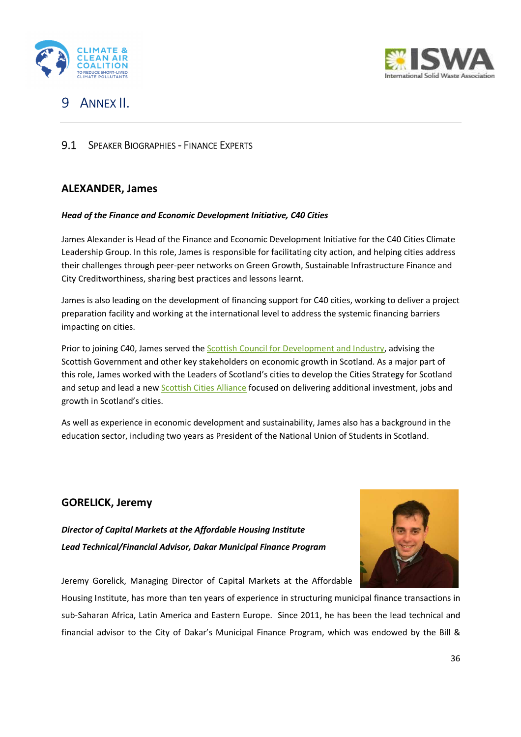



## 9 ANNEX II.

### **9.1 SPEAKER BIOGRAPHIES - FINANCE EXPERTS**

### **ALEXANDER, James**

### *Head of the Finance and Economic Development Initiative, C40 Cities*

James Alexander is Head of the Finance and Economic Development Initiative for the C40 Cities Climate Leadership Group. In this role, James is responsible for facilitating city action, and helping cities address their challenges through peer-peer networks on Green Growth, Sustainable Infrastructure Finance and City Creditworthiness, sharing best practices and lessons learnt.

James is also leading on the development of financing support for C40 cities, working to deliver a project preparation facility and working at the international level to address the systemic financing barriers impacting on cities.

Prior to joining C40, James served the **Scottish Council for Development and Industry**, advising the Scottish Government and other key stakeholders on economic growth in Scotland. As a major part of this role, James worked with the Leaders of Scotland's cities to develop the Cities Strategy for Scotland and setup and lead a new Scottish Cities Alliance focused on delivering additional investment, jobs and growth in Scotland's cities.

As well as experience in economic development and sustainability, James also has a background in the education sector, including two years as President of the National Union of Students in Scotland.

## **GORELICK, Jeremy**

*Director of Capital Markets at the Affordable Housing Institute Lead Technical/Financial Advisor, Dakar Municipal Finance Program* 



Jeremy Gorelick, Managing Director of Capital Markets at the Affordable

Housing Institute, has more than ten years of experience in structuring municipal finance transactions in sub-Saharan Africa, Latin America and Eastern Europe. Since 2011, he has been the lead technical and financial advisor to the City of Dakar's Municipal Finance Program, which was endowed by the Bill &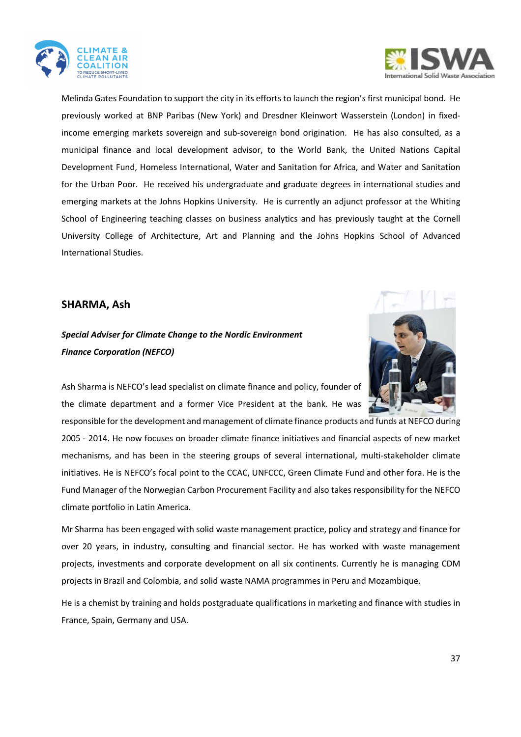



Melinda Gates Foundation to support the city in its efforts to launch the region's first municipal bond. He previously worked at BNP Paribas (New York) and Dresdner Kleinwort Wasserstein (London) in fixedincome emerging markets sovereign and sub-sovereign bond origination. He has also consulted, as a municipal finance and local development advisor, to the World Bank, the United Nations Capital Development Fund, Homeless International, Water and Sanitation for Africa, and Water and Sanitation for the Urban Poor. He received his undergraduate and graduate degrees in international studies and emerging markets at the Johns Hopkins University. He is currently an adjunct professor at the Whiting School of Engineering teaching classes on business analytics and has previously taught at the Cornell University College of Architecture, Art and Planning and the Johns Hopkins School of Advanced International Studies.

### **SHARMA, Ash**

## *Special Adviser for Climate Change to the Nordic Environment Finance Corporation (NEFCO)*



Ash Sharma is NEFCO's lead specialist on climate finance and policy, founder of the climate department and a former Vice President at the bank. He was

responsible for the development and management of climate finance products and funds at NEFCO during 2005 - 2014. He now focuses on broader climate finance initiatives and financial aspects of new market mechanisms, and has been in the steering groups of several international, multi-stakeholder climate initiatives. He is NEFCO's focal point to the CCAC, UNFCCC, Green Climate Fund and other fora. He is the Fund Manager of the Norwegian Carbon Procurement Facility and also takes responsibility for the NEFCO climate portfolio in Latin America.

Mr Sharma has been engaged with solid waste management practice, policy and strategy and finance for over 20 years, in industry, consulting and financial sector. He has worked with waste management projects, investments and corporate development on all six continents. Currently he is managing CDM projects in Brazil and Colombia, and solid waste NAMA programmes in Peru and Mozambique.

He is a chemist by training and holds postgraduate qualifications in marketing and finance with studies in France, Spain, Germany and USA.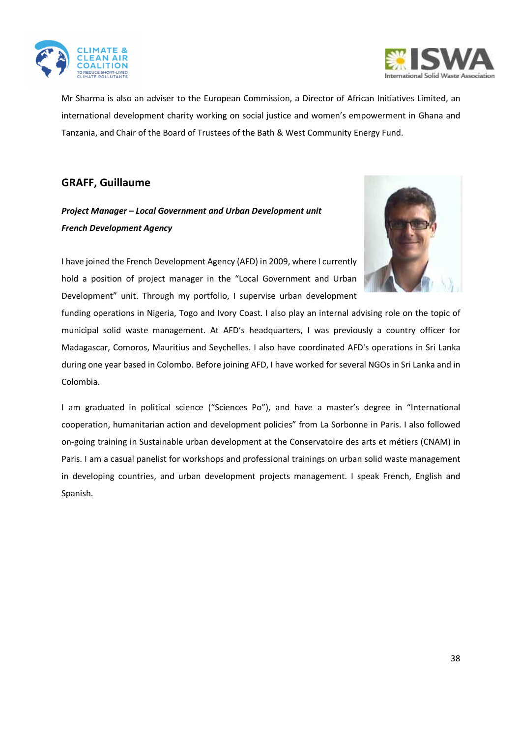



Mr Sharma is also an adviser to the European Commission, a Director of African Initiatives Limited, an international development charity working on social justice and women's empowerment in Ghana and Tanzania, and Chair of the Board of Trustees of the Bath & West Community Energy Fund.

### **GRAFF, Guillaume**

## *Project Manager – Local Government and Urban Development unit French Development Agency*



I have joined the French Development Agency (AFD) in 2009, where I currently hold a position of project manager in the "Local Government and Urban Development" unit. Through my portfolio, I supervise urban development

funding operations in Nigeria, Togo and Ivory Coast. I also play an internal advising role on the topic of municipal solid waste management. At AFD's headquarters, I was previously a country officer for Madagascar, Comoros, Mauritius and Seychelles. I also have coordinated AFD's operations in Sri Lanka during one year based in Colombo. Before joining AFD, I have worked for several NGOs in Sri Lanka and in Colombia.

I am graduated in political science ("Sciences Po"), and have a master's degree in "International cooperation, humanitarian action and development policies" from La Sorbonne in Paris. I also followed on-going training in Sustainable urban development at the Conservatoire des arts et métiers (CNAM) in Paris. I am a casual panelist for workshops and professional trainings on urban solid waste management in developing countries, and urban development projects management. I speak French, English and Spanish.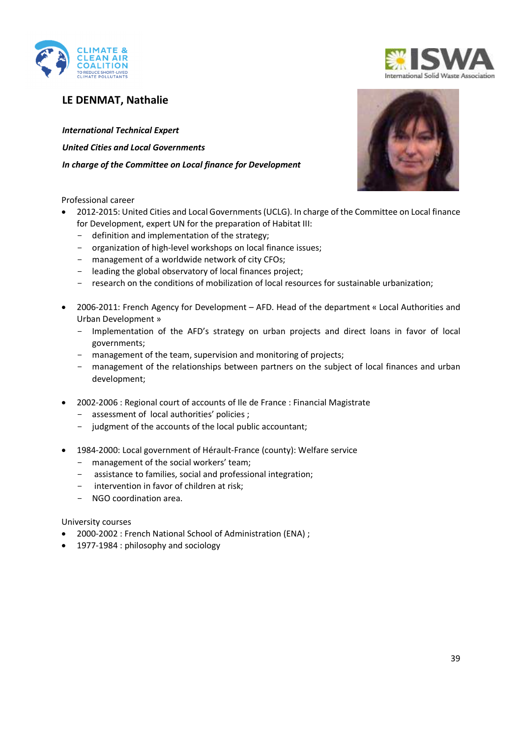

## **LE DENMAT, Nathalie**

*International Technical Expert United Cities and Local Governments In charge of the Committee on Local finance for Development* 

Professional career

- 2012-2015: United Cities and Local Governments (UCLG). In charge of the Committee on Local finance for Development, expert UN for the preparation of Habitat III:
	- definition and implementation of the strategy;
	- organization of high-level workshops on local finance issues;
	- management of a worldwide network of city CFOs;
	- leading the global observatory of local finances project;
	- research on the conditions of mobilization of local resources for sustainable urbanization;
- 2006-2011: French Agency for Development AFD. Head of the department « Local Authorities and Urban Development »
	- Implementation of the AFD's strategy on urban projects and direct loans in favor of local governments;
	- management of the team, supervision and monitoring of projects;
	- management of the relationships between partners on the subject of local finances and urban development;
- 2002-2006 : Regional court of accounts of Ile de France : Financial Magistrate
	- assessment of local authorities' policies ;
	- judgment of the accounts of the local public accountant;
- 1984-2000: Local government of Hérault-France (county): Welfare service
	- management of the social workers' team;
	- assistance to families, social and professional integration;
	- intervention in favor of children at risk;
	- NGO coordination area.

University courses

- 2000-2002 : French National School of Administration (ENA) ;
- 1977-1984 : philosophy and sociology



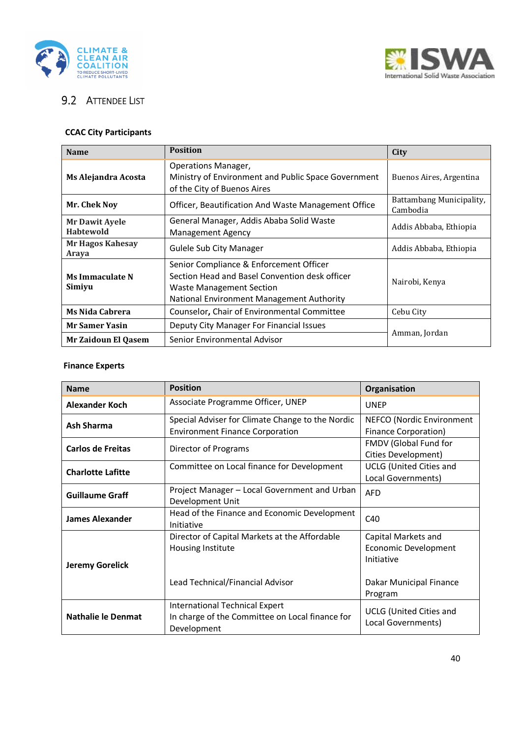



## **9.2 ATTENDEE LIST**

## **CCAC City Participants**

| <b>Name</b>                               | <b>Position</b>                                                                                                                                                    | City                                 |
|-------------------------------------------|--------------------------------------------------------------------------------------------------------------------------------------------------------------------|--------------------------------------|
| Ms Alejandra Acosta                       | Operations Manager,<br>Ministry of Environment and Public Space Government<br>of the City of Buenos Aires                                                          | Buenos Aires, Argentina              |
| Mr. Chek Noy                              | Officer, Beautification And Waste Management Office                                                                                                                | Battambang Municipality,<br>Cambodia |
| <b>Mr Dawit Ayele</b><br><b>Habtewold</b> | General Manager, Addis Ababa Solid Waste<br><b>Management Agency</b>                                                                                               | Addis Abbaba, Ethiopia               |
| <b>Mr Hagos Kahesay</b><br>Araya          | <b>Gulele Sub City Manager</b>                                                                                                                                     | Addis Abbaba, Ethiopia               |
| Ms Immaculate N<br>Simiyu                 | Senior Compliance & Enforcement Officer<br>Section Head and Basel Convention desk officer<br>Waste Management Section<br>National Environment Management Authority | Nairobi, Kenya                       |
| <b>Ms Nida Cabrera</b>                    | Counselor, Chair of Environmental Committee                                                                                                                        | Cebu City                            |
| <b>Mr Samer Yasin</b>                     | Deputy City Manager For Financial Issues                                                                                                                           |                                      |
| <b>Mr Zaidoun El Qasem</b>                | Senior Environmental Advisor                                                                                                                                       | Amman, Jordan                        |

### **Finance Experts**

| <b>Name</b>               | <b>Position</b>                                                                                        | Organisation                                                                                    |
|---------------------------|--------------------------------------------------------------------------------------------------------|-------------------------------------------------------------------------------------------------|
| <b>Alexander Koch</b>     | Associate Programme Officer, UNEP                                                                      | <b>UNEP</b>                                                                                     |
| <b>Ash Sharma</b>         | Special Adviser for Climate Change to the Nordic<br><b>Environment Finance Corporation</b>             | NEFCO (Nordic Environment<br><b>Finance Corporation)</b>                                        |
| Carlos de Freitas         | Director of Programs                                                                                   | FMDV (Global Fund for<br>Cities Development)                                                    |
| <b>Charlotte Lafitte</b>  | Committee on Local finance for Development                                                             | <b>UCLG</b> (United Cities and<br>Local Governments)                                            |
| <b>Guillaume Graff</b>    | Project Manager - Local Government and Urban<br>Development Unit                                       | <b>AFD</b>                                                                                      |
| <b>James Alexander</b>    | Head of the Finance and Economic Development<br>Initiative                                             | C40                                                                                             |
| <b>Jeremy Gorelick</b>    | Director of Capital Markets at the Affordable<br>Housing Institute<br>Lead Technical/Financial Advisor | Capital Markets and<br>Economic Development<br>Initiative<br>Dakar Municipal Finance<br>Program |
| <b>Nathalie le Denmat</b> | International Technical Expert<br>In charge of the Committee on Local finance for<br>Development       | <b>UCLG</b> (United Cities and<br>Local Governments)                                            |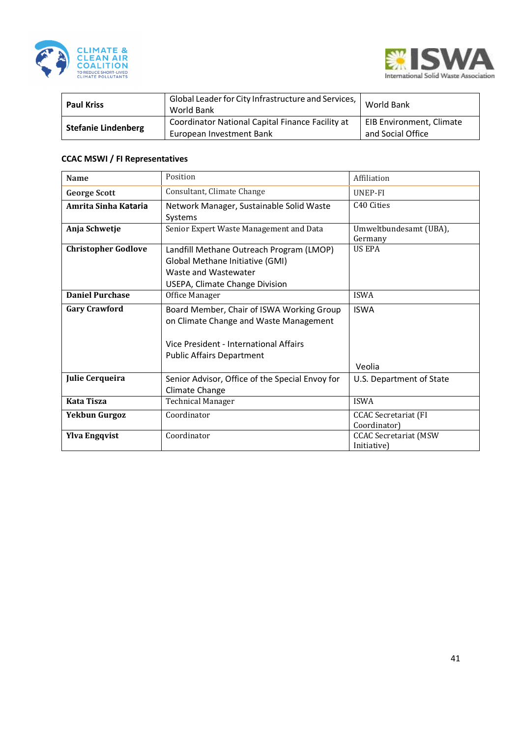



| <b>Paul Kriss</b>          | Global Leader for City Infrastructure and Services,<br>World Bank            | World Bank                                    |
|----------------------------|------------------------------------------------------------------------------|-----------------------------------------------|
| <b>Stefanie Lindenberg</b> | Coordinator National Capital Finance Facility at<br>European Investment Bank | EIB Environment, Climate<br>and Social Office |

### **CCAC MSWI / FI Representatives**

| <b>Name</b>                | Position                                                                                                                                                          | Affiliation                                 |
|----------------------------|-------------------------------------------------------------------------------------------------------------------------------------------------------------------|---------------------------------------------|
| <b>George Scott</b>        | Consultant, Climate Change                                                                                                                                        | UNEP-FI                                     |
| Amrita Sinha Kataria       | Network Manager, Sustainable Solid Waste<br>Systems                                                                                                               | C <sub>40</sub> Cities                      |
| Anja Schwetje              | Senior Expert Waste Management and Data                                                                                                                           | Umweltbundesamt (UBA),<br>Germany           |
| <b>Christopher Godlove</b> | Landfill Methane Outreach Program (LMOP)<br>Global Methane Initiative (GMI)<br>Waste and Wastewater<br>USEPA, Climate Change Division                             | <b>US EPA</b>                               |
| <b>Daniel Purchase</b>     | Office Manager                                                                                                                                                    | <b>ISWA</b>                                 |
| <b>Gary Crawford</b>       | Board Member, Chair of ISWA Working Group<br>on Climate Change and Waste Management<br>Vice President - International Affairs<br><b>Public Affairs Department</b> | <b>ISWA</b><br>Veolia                       |
| <b>Julie Cerqueira</b>     | Senior Advisor, Office of the Special Envoy for<br>Climate Change                                                                                                 | U.S. Department of State                    |
| <b>Kata Tisza</b>          | <b>Technical Manager</b>                                                                                                                                          | <b>ISWA</b>                                 |
| <b>Yekbun Gurgoz</b>       | Coordinator                                                                                                                                                       | <b>CCAC</b> Secretariat (FI<br>Coordinator) |
| <b>Ylva Engqvist</b>       | Coordinator                                                                                                                                                       | <b>CCAC Secretariat (MSW</b><br>Initiative) |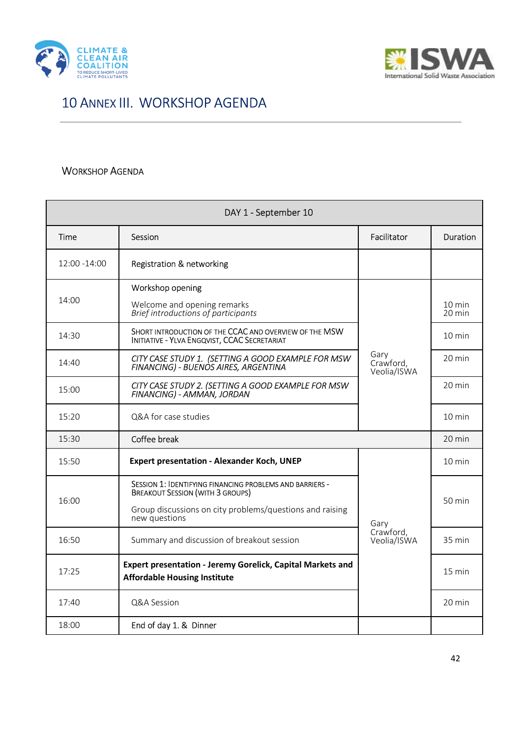



## 10 ANNEX III. WORKSHOP AGENDA

### WORKSHOP AGENDA

| DAY 1 - September 10  |                                                                                                                                                                                  |                                  |                            |  |  |
|-----------------------|----------------------------------------------------------------------------------------------------------------------------------------------------------------------------------|----------------------------------|----------------------------|--|--|
| Time                  | Session                                                                                                                                                                          | Facilitator                      | Duration                   |  |  |
| 12:00 -14:00          | <b>Registration &amp; networking</b>                                                                                                                                             |                                  |                            |  |  |
| 14:00                 | Workshop opening<br>Welcome and opening remarks<br>Brief introductions of participants                                                                                           |                                  | $10 \text{ min}$<br>20 min |  |  |
| 14:30                 | SHORT INTRODUCTION OF THE CCAC AND OVERVIEW OF THE MSW<br><b>INITIATIVE - YLVA ENGQVIST, CCAC SECRETARIAT</b>                                                                    | Gary<br>Crawford,<br>Veolia/ISWA | $10 \text{ min}$           |  |  |
| 14:40                 | CITY CASE STUDY 1. (SETTING A GOOD EXAMPLE FOR MSW<br>FINANCING) - BUENOS AIRES, ARGENTINA                                                                                       |                                  | 20 min                     |  |  |
| 15:00                 | CITY CASE STUDY 2. (SETTING A GOOD EXAMPLE FOR MSW<br>FINANCING) - AMMÀN, JORDAN                                                                                                 |                                  | 20 min                     |  |  |
| 15:20                 | Q&A for case studies                                                                                                                                                             |                                  | $10 \text{ min}$           |  |  |
| Coffee break<br>15:30 |                                                                                                                                                                                  |                                  | $20 \text{ min}$           |  |  |
| 15:50                 | <b>Expert presentation - Alexander Koch, UNEP</b>                                                                                                                                |                                  | $10 \text{ min}$           |  |  |
| 16:00                 | SESSION 1: IDENTIFYING FINANCING PROBLEMS AND BARRIERS -<br><b>BREAKOUT SESSION (WITH 3 GROUPS)</b><br>Group discussions on city problems/questions and raising<br>new questions | Garv                             | 50 min                     |  |  |
| 16:50                 | Summary and discussion of breakout session                                                                                                                                       | Crawford,<br>Veolia/ISWA         | 35 min                     |  |  |
| 17:25                 | Expert presentation - Jeremy Gorelick, Capital Markets and<br><b>Affordable Housing Institute</b>                                                                                |                                  | $15 \text{ min}$           |  |  |
| 17:40                 | Q&A Session                                                                                                                                                                      |                                  | 20 min                     |  |  |
| 18:00                 | End of day 1. & Dinner                                                                                                                                                           |                                  |                            |  |  |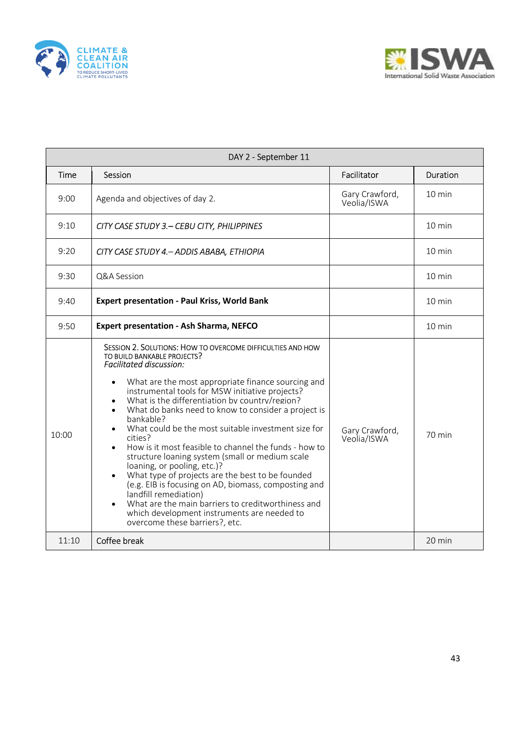



|       | DAY 2 - September 11                                                                                                                                                                                                                                                                                                                                                                                                                                                                                                                                                                                                                                                                                                                                                                                                                                                                                                                           |                               |                  |  |  |  |  |
|-------|------------------------------------------------------------------------------------------------------------------------------------------------------------------------------------------------------------------------------------------------------------------------------------------------------------------------------------------------------------------------------------------------------------------------------------------------------------------------------------------------------------------------------------------------------------------------------------------------------------------------------------------------------------------------------------------------------------------------------------------------------------------------------------------------------------------------------------------------------------------------------------------------------------------------------------------------|-------------------------------|------------------|--|--|--|--|
| Time  | Session                                                                                                                                                                                                                                                                                                                                                                                                                                                                                                                                                                                                                                                                                                                                                                                                                                                                                                                                        | Facilitator                   | <b>Duration</b>  |  |  |  |  |
| 9:00  | Agenda and objectives of day 2.                                                                                                                                                                                                                                                                                                                                                                                                                                                                                                                                                                                                                                                                                                                                                                                                                                                                                                                | Gary Crawford,<br>Veolia/ISWA | $10 \text{ min}$ |  |  |  |  |
| 9:10  | CITY CASE STUDY 3. - CEBU CITY, PHILIPPINES                                                                                                                                                                                                                                                                                                                                                                                                                                                                                                                                                                                                                                                                                                                                                                                                                                                                                                    |                               | 10 min           |  |  |  |  |
| 9:20  | CITY CASE STUDY 4. - ADDIS ABABA, ETHIOPIA                                                                                                                                                                                                                                                                                                                                                                                                                                                                                                                                                                                                                                                                                                                                                                                                                                                                                                     |                               | $10 \text{ min}$ |  |  |  |  |
| 9:30  | Q&A Session                                                                                                                                                                                                                                                                                                                                                                                                                                                                                                                                                                                                                                                                                                                                                                                                                                                                                                                                    |                               | 10 min           |  |  |  |  |
| 9:40  | <b>Expert presentation - Paul Kriss, World Bank</b>                                                                                                                                                                                                                                                                                                                                                                                                                                                                                                                                                                                                                                                                                                                                                                                                                                                                                            |                               | $10 \text{ min}$ |  |  |  |  |
| 9:50  | <b>Expert presentation - Ash Sharma, NEFCO</b>                                                                                                                                                                                                                                                                                                                                                                                                                                                                                                                                                                                                                                                                                                                                                                                                                                                                                                 |                               | $10 \text{ min}$ |  |  |  |  |
| 10:00 | SESSION 2. SOLUTIONS: HOW TO OVERCOME DIFFICULTIES AND HOW<br>TO BUILD BANKABLE PROJECTS?<br><b>Facilitated discussion:</b><br>What are the most appropriate finance sourcing and<br>$\bullet$<br>instrumental tools for MSW initiative projects?<br>What is the differentiation by country/region?<br>$\bullet$<br>What do banks need to know to consider a project is<br>$\bullet$<br>bankable?<br>What could be the most suitable investment size for<br>$\bullet$<br>cities?<br>How is it most feasible to channel the funds - how to<br>$\bullet$<br>structure loaning system (small or medium scale<br>loaning, or pooling, etc.)?<br>What type of projects are the best to be founded<br>$\bullet$<br>(e.g. EIB is focusing on AD, biomass, composting and<br>landfill remediation)<br>What are the main barriers to creditworthiness and<br>$\bullet$<br>which development instruments are needed to<br>overcome these barriers?, etc. | Gary Crawford,<br>Veolia/ISWA | 70 min           |  |  |  |  |
| 11:10 | Coffee break                                                                                                                                                                                                                                                                                                                                                                                                                                                                                                                                                                                                                                                                                                                                                                                                                                                                                                                                   |                               | 20 min           |  |  |  |  |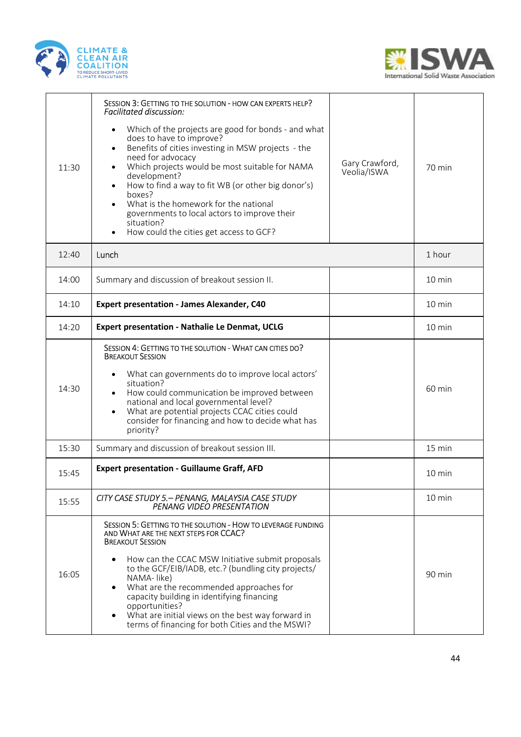



| 11:30 | SESSION 3: GETTING TO THE SOLUTION - HOW CAN EXPERTS HELP?<br><b>Facilitated discussion:</b><br>Which of the projects are good for bonds - and what<br>$\bullet$<br>does to have to improve?<br>Benefits of cities investing in MSW projects - the<br>$\bullet$<br>need for advocacy<br>Which projects would be most suitable for NAMA<br>$\bullet$<br>development?<br>How to find a way to fit WB (or other big donor's)<br>$\bullet$<br>boxes?<br>What is the homework for the national<br>$\bullet$<br>governments to local actors to improve their<br>situation?<br>How could the cities get access to GCF?<br>$\bullet$ | Gary Crawford,<br>Veolia/ISWA | 70 min           |
|-------|------------------------------------------------------------------------------------------------------------------------------------------------------------------------------------------------------------------------------------------------------------------------------------------------------------------------------------------------------------------------------------------------------------------------------------------------------------------------------------------------------------------------------------------------------------------------------------------------------------------------------|-------------------------------|------------------|
| 12:40 | Lunch                                                                                                                                                                                                                                                                                                                                                                                                                                                                                                                                                                                                                        |                               | 1 hour           |
| 14:00 | Summary and discussion of breakout session II.                                                                                                                                                                                                                                                                                                                                                                                                                                                                                                                                                                               |                               | $10 \text{ min}$ |
| 14:10 | <b>Expert presentation - James Alexander, C40</b>                                                                                                                                                                                                                                                                                                                                                                                                                                                                                                                                                                            |                               | 10 min           |
| 14:20 | <b>Expert presentation - Nathalie Le Denmat, UCLG</b>                                                                                                                                                                                                                                                                                                                                                                                                                                                                                                                                                                        |                               | $10 \text{ min}$ |
| 14:30 | SESSION 4: GETTING TO THE SOLUTION - WHAT CAN CITIES DO?<br><b>BREAKOUT SESSION</b><br>What can governments do to improve local actors'<br>$\bullet$<br>situation?<br>How could communication be improved between<br>$\bullet$<br>national and local governmental level?<br>What are potential projects CCAC cities could<br>$\bullet$<br>consider for financing and how to decide what has<br>priority?                                                                                                                                                                                                                     |                               | 60 min           |
| 15:30 | Summary and discussion of breakout session III.                                                                                                                                                                                                                                                                                                                                                                                                                                                                                                                                                                              |                               | 15 min           |
| 15:45 | <b>Expert presentation - Guillaume Graff, AFD</b>                                                                                                                                                                                                                                                                                                                                                                                                                                                                                                                                                                            |                               | $10 \text{ min}$ |
| 15:55 | CITY CASE STUDY 5. - PENANG, MALAYSIA CASE STUDY<br><b>PENANG VIDEO PRESENTATION</b>                                                                                                                                                                                                                                                                                                                                                                                                                                                                                                                                         |                               | 10 min           |
| 16:05 | SESSION 5: GETTING TO THE SOLUTION - HOW TO LEVERAGE FUNDING<br>AND WHAT ARE THE NEXT STEPS FOR CCAC?<br><b>BREAKOUT SESSION</b><br>How can the CCAC MSW Initiative submit proposals<br>$\bullet$<br>to the GCF/EIB/IADB, etc.? (bundling city projects/<br>NAMA-like)<br>What are the recommended approaches for<br>٠<br>capacity building in identifying financing<br>opportunities?<br>What are initial views on the best way forward in<br>$\bullet$<br>terms of financing for both Cities and the MSWI?                                                                                                                 |                               | 90 min           |